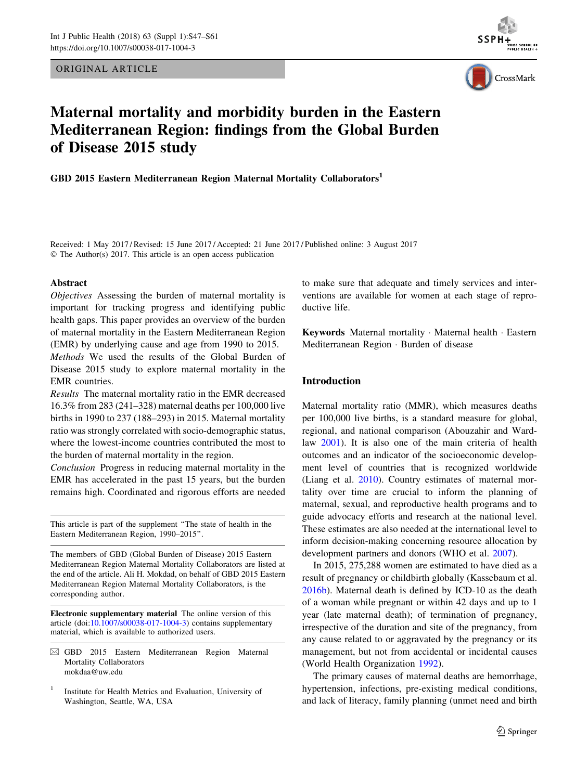ORIGINAL ARTICLE





# Maternal mortality and morbidity burden in the Eastern Mediterranean Region: findings from the Global Burden of Disease 2015 study

GBD 2015 Eastern Mediterranean Region Maternal Mortality Collaborators<sup>1</sup>

Received: 1 May 2017 / Revised: 15 June 2017 / Accepted: 21 June 2017 / Published online: 3 August 2017 © The Author(s) 2017. This article is an open access publication

#### Abstract

Objectives Assessing the burden of maternal mortality is important for tracking progress and identifying public health gaps. This paper provides an overview of the burden of maternal mortality in the Eastern Mediterranean Region (EMR) by underlying cause and age from 1990 to 2015.

Methods We used the results of the Global Burden of Disease 2015 study to explore maternal mortality in the EMR countries.

Results The maternal mortality ratio in the EMR decreased 16.3% from 283 (241–328) maternal deaths per 100,000 live births in 1990 to 237 (188–293) in 2015. Maternal mortality ratio was strongly correlated with socio-demographic status, where the lowest-income countries contributed the most to the burden of maternal mortality in the region.

Conclusion Progress in reducing maternal mortality in the EMR has accelerated in the past 15 years, but the burden remains high. Coordinated and rigorous efforts are needed

This article is part of the supplement ''The state of health in the Eastern Mediterranean Region, 1990–2015''.

The members of GBD (Global Burden of Disease) 2015 Eastern Mediterranean Region Maternal Mortality Collaborators are listed at the end of the article. Ali H. Mokdad, on behalf of GBD 2015 Eastern Mediterranean Region Maternal Mortality Collaborators, is the corresponding author.

Electronic supplementary material The online version of this article (doi:[10.1007/s00038-017-1004-3\)](https://doi.org/10.1007/s00038-017-1004-3) contains supplementary material, which is available to authorized users.

 $\boxtimes$  GBD 2015 Eastern Mediterranean Region Maternal Mortality Collaborators mokdaa@uw.edu

<sup>1</sup> Institute for Health Metrics and Evaluation, University of Washington, Seattle, WA, USA

to make sure that adequate and timely services and interventions are available for women at each stage of reproductive life.

Keywords Maternal mortality - Maternal health - Eastern Mediterranean Region - Burden of disease

## Introduction

Maternal mortality ratio (MMR), which measures deaths per 100,000 live births, is a standard measure for global, regional, and national comparison (Abouzahir and Wardlaw [2001](#page-13-0)). It is also one of the main criteria of health outcomes and an indicator of the socioeconomic development level of countries that is recognized worldwide (Liang et al. [2010](#page-13-0)). Country estimates of maternal mortality over time are crucial to inform the planning of maternal, sexual, and reproductive health programs and to guide advocacy efforts and research at the national level. These estimates are also needed at the international level to inform decision-making concerning resource allocation by development partners and donors (WHO et al. [2007](#page-14-0)).

In 2015, 275,288 women are estimated to have died as a result of pregnancy or childbirth globally (Kassebaum et al. [2016b](#page-13-0)). Maternal death is defined by ICD-10 as the death of a woman while pregnant or within 42 days and up to 1 year (late maternal death); of termination of pregnancy, irrespective of the duration and site of the pregnancy, from any cause related to or aggravated by the pregnancy or its management, but not from accidental or incidental causes (World Health Organization [1992](#page-14-0)).

The primary causes of maternal deaths are hemorrhage, hypertension, infections, pre-existing medical conditions, and lack of literacy, family planning (unmet need and birth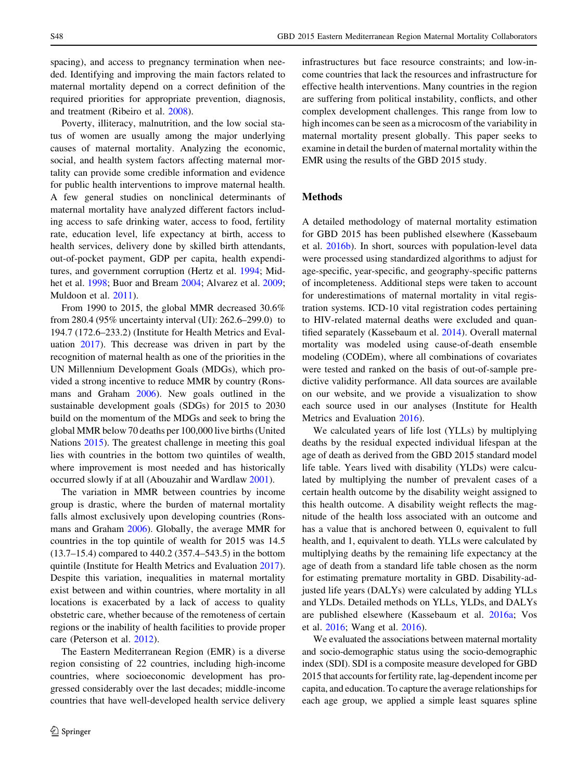spacing), and access to pregnancy termination when needed. Identifying and improving the main factors related to maternal mortality depend on a correct definition of the required priorities for appropriate prevention, diagnosis, and treatment (Ribeiro et al. [2008](#page-13-0)).

Poverty, illiteracy, malnutrition, and the low social status of women are usually among the major underlying causes of maternal mortality. Analyzing the economic, social, and health system factors affecting maternal mortality can provide some credible information and evidence for public health interventions to improve maternal health. A few general studies on nonclinical determinants of maternal mortality have analyzed different factors including access to safe drinking water, access to food, fertility rate, education level, life expectancy at birth, access to health services, delivery done by skilled birth attendants, out-of-pocket payment, GDP per capita, health expenditures, and government corruption (Hertz et al. [1994;](#page-13-0) Mid-het et al. [1998;](#page-13-0) Buor and Bream [2004;](#page-13-0) Alvarez et al. [2009](#page-13-0); Muldoon et al. [2011\)](#page-13-0).

From 1990 to 2015, the global MMR decreased 30.6% from 280.4 (95% uncertainty interval (UI): 262.6–299.0) to 194.7 (172.6–233.2) (Institute for Health Metrics and Evaluation [2017](#page-13-0)). This decrease was driven in part by the recognition of maternal health as one of the priorities in the UN Millennium Development Goals (MDGs), which provided a strong incentive to reduce MMR by country (Ronsmans and Graham [2006](#page-13-0)). New goals outlined in the sustainable development goals (SDGs) for 2015 to 2030 build on the momentum of the MDGs and seek to bring the global MMR below 70 deaths per 100,000 live births (United Nations [2015](#page-14-0)). The greatest challenge in meeting this goal lies with countries in the bottom two quintiles of wealth, where improvement is most needed and has historically occurred slowly if at all (Abouzahir and Wardlaw [2001\)](#page-13-0).

The variation in MMR between countries by income group is drastic, where the burden of maternal mortality falls almost exclusively upon developing countries (Ronsmans and Graham [2006](#page-13-0)). Globally, the average MMR for countries in the top quintile of wealth for 2015 was 14.5 (13.7–15.4) compared to 440.2 (357.4–543.5) in the bottom quintile (Institute for Health Metrics and Evaluation [2017](#page-13-0)). Despite this variation, inequalities in maternal mortality exist between and within countries, where mortality in all locations is exacerbated by a lack of access to quality obstetric care, whether because of the remoteness of certain regions or the inability of health facilities to provide proper care (Peterson et al. [2012\)](#page-13-0).

The Eastern Mediterranean Region (EMR) is a diverse region consisting of 22 countries, including high-income countries, where socioeconomic development has progressed considerably over the last decades; middle-income countries that have well-developed health service delivery infrastructures but face resource constraints; and low-income countries that lack the resources and infrastructure for effective health interventions. Many countries in the region are suffering from political instability, conflicts, and other complex development challenges. This range from low to high incomes can be seen as a microcosm of the variability in maternal mortality present globally. This paper seeks to examine in detail the burden of maternal mortality within the EMR using the results of the GBD 2015 study.

#### Methods

A detailed methodology of maternal mortality estimation for GBD 2015 has been published elsewhere (Kassebaum et al. [2016b](#page-13-0)). In short, sources with population-level data were processed using standardized algorithms to adjust for age-specific, year-specific, and geography-specific patterns of incompleteness. Additional steps were taken to account for underestimations of maternal mortality in vital registration systems. ICD-10 vital registration codes pertaining to HIV-related maternal deaths were excluded and quantified separately (Kassebaum et al. [2014\)](#page-13-0). Overall maternal mortality was modeled using cause-of-death ensemble modeling (CODEm), where all combinations of covariates were tested and ranked on the basis of out-of-sample predictive validity performance. All data sources are available on our website, and we provide a visualization to show each source used in our analyses (Institute for Health Metrics and Evaluation [2016\)](#page-13-0).

We calculated years of life lost (YLLs) by multiplying deaths by the residual expected individual lifespan at the age of death as derived from the GBD 2015 standard model life table. Years lived with disability (YLDs) were calculated by multiplying the number of prevalent cases of a certain health outcome by the disability weight assigned to this health outcome. A disability weight reflects the magnitude of the health loss associated with an outcome and has a value that is anchored between 0, equivalent to full health, and 1, equivalent to death. YLLs were calculated by multiplying deaths by the remaining life expectancy at the age of death from a standard life table chosen as the norm for estimating premature mortality in GBD. Disability-adjusted life years (DALYs) were calculated by adding YLLs and YLDs. Detailed methods on YLLs, YLDs, and DALYs are published elsewhere (Kassebaum et al. [2016a](#page-13-0); Vos et al. [2016;](#page-14-0) Wang et al. [2016\)](#page-14-0).

We evaluated the associations between maternal mortality and socio-demographic status using the socio-demographic index (SDI). SDI is a composite measure developed for GBD 2015 that accounts for fertility rate, lag-dependent income per capita, and education. To capture the average relationships for each age group, we applied a simple least squares spline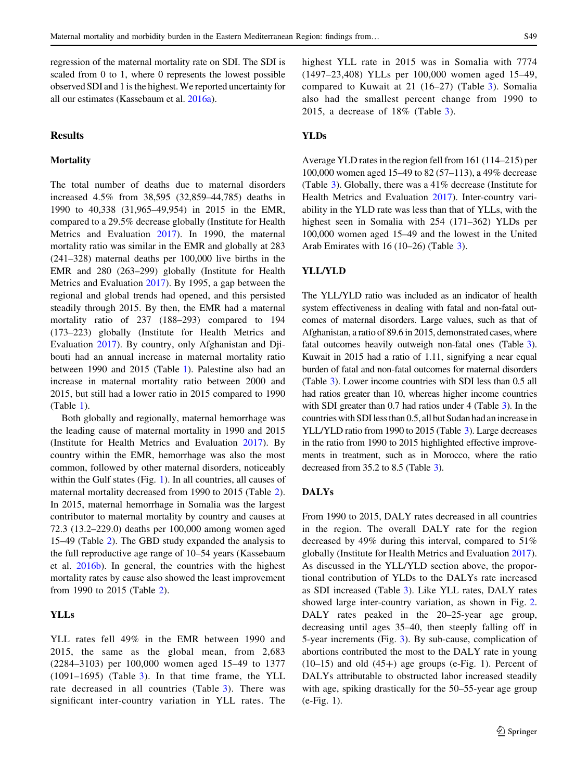regression of the maternal mortality rate on SDI. The SDI is scaled from 0 to 1, where 0 represents the lowest possible observed SDI and 1 is the highest. We reported uncertainty for all our estimates (Kassebaum et al. [2016a](#page-13-0)).

## **Results**

#### **Mortality**

The total number of deaths due to maternal disorders increased 4.5% from 38,595 (32,859–44,785) deaths in 1990 to 40,338 (31,965–49,954) in 2015 in the EMR, compared to a 29.5% decrease globally (Institute for Health Metrics and Evaluation [2017](#page-13-0)). In 1990, the maternal mortality ratio was similar in the EMR and globally at 283 (241–328) maternal deaths per 100,000 live births in the EMR and 280 (263–299) globally (Institute for Health Metrics and Evaluation [2017\)](#page-13-0). By 1995, a gap between the regional and global trends had opened, and this persisted steadily through 2015. By then, the EMR had a maternal mortality ratio of 237 (188–293) compared to 194 (173–223) globally (Institute for Health Metrics and Evaluation [2017](#page-13-0)). By country, only Afghanistan and Djibouti had an annual increase in maternal mortality ratio between 1990 and 2015 (Table [1](#page-3-0)). Palestine also had an increase in maternal mortality ratio between 2000 and 2015, but still had a lower ratio in 2015 compared to 1990 (Table [1](#page-3-0)).

Both globally and regionally, maternal hemorrhage was the leading cause of maternal mortality in 1990 and 2015 (Institute for Health Metrics and Evaluation [2017](#page-13-0)). By country within the EMR, hemorrhage was also the most common, followed by other maternal disorders, noticeably within the Gulf states (Fig. [1\)](#page-5-0). In all countries, all causes of maternal mortality decreased from 1990 to 2015 (Table [2](#page-6-0)). In 2015, maternal hemorrhage in Somalia was the largest contributor to maternal mortality by country and causes at 72.3 (13.2–229.0) deaths per 100,000 among women aged 15–49 (Table [2](#page-6-0)). The GBD study expanded the analysis to the full reproductive age range of 10–54 years (Kassebaum et al. [2016b](#page-13-0)). In general, the countries with the highest mortality rates by cause also showed the least improvement from 1990 to 2015 (Table [2\)](#page-6-0).

# YLLs

YLL rates fell 49% in the EMR between 1990 and 2015, the same as the global mean, from 2,683 (2284–3103) per 100,000 women aged 15–49 to 1377  $(1091-1695)$  (Table [3](#page-8-0)). In that time frame, the YLL rate decreased in all countries (Table [3\)](#page-8-0). There was significant inter-country variation in YLL rates. The highest YLL rate in 2015 was in Somalia with 7774 (1497–23,408) YLLs per 100,000 women aged 15–49, compared to Kuwait at 21 (16–27) (Table [3\)](#page-8-0). Somalia also had the smallest percent change from 1990 to 2015, a decrease of 18% (Table [3\)](#page-8-0).

#### YLDs

Average YLD rates in the region fell from 161 (114–215) per 100,000 women aged 15–49 to 82 (57–113), a 49% decrease (Table [3\)](#page-8-0). Globally, there was a 41% decrease (Institute for Health Metrics and Evaluation [2017](#page-13-0)). Inter-country variability in the YLD rate was less than that of YLLs, with the highest seen in Somalia with 254 (171–362) YLDs per 100,000 women aged 15–49 and the lowest in the United Arab Emirates with 16 (10–26) (Table [3](#page-8-0)).

#### YLL/YLD

The YLL/YLD ratio was included as an indicator of health system effectiveness in dealing with fatal and non-fatal outcomes of maternal disorders. Large values, such as that of Afghanistan, a ratio of 89.6 in 2015, demonstrated cases, where fatal outcomes heavily outweigh non-fatal ones (Table [3\)](#page-8-0). Kuwait in 2015 had a ratio of 1.11, signifying a near equal burden of fatal and non-fatal outcomes for maternal disorders (Table [3](#page-8-0)). Lower income countries with SDI less than 0.5 all had ratios greater than 10, whereas higher income countries with SDI greater than 0.7 had ratios under 4 (Table [3](#page-8-0)). In the countries with SDI less than 0.5, all but Sudan had an increase in YLL/YLD ratio from 1990 to 2015 (Table [3](#page-8-0)). Large decreases in the ratio from 1990 to 2015 highlighted effective improvements in treatment, such as in Morocco, where the ratio decreased from 35.2 to 8.5 (Table [3](#page-8-0)).

## DALYs

From 1990 to 2015, DALY rates decreased in all countries in the region. The overall DALY rate for the region decreased by 49% during this interval, compared to 51% globally (Institute for Health Metrics and Evaluation [2017](#page-13-0)). As discussed in the YLL/YLD section above, the proportional contribution of YLDs to the DALYs rate increased as SDI increased (Table [3\)](#page-8-0). Like YLL rates, DALY rates showed large inter-country variation, as shown in Fig. [2.](#page-9-0) DALY rates peaked in the 20–25-year age group, decreasing until ages 35–40, then steeply falling off in 5-year increments (Fig. [3](#page-9-0)). By sub-cause, complication of abortions contributed the most to the DALY rate in young  $(10-15)$  and old  $(45+)$  age groups (e-Fig. 1). Percent of DALYs attributable to obstructed labor increased steadily with age, spiking drastically for the 50–55-year age group (e-Fig. 1).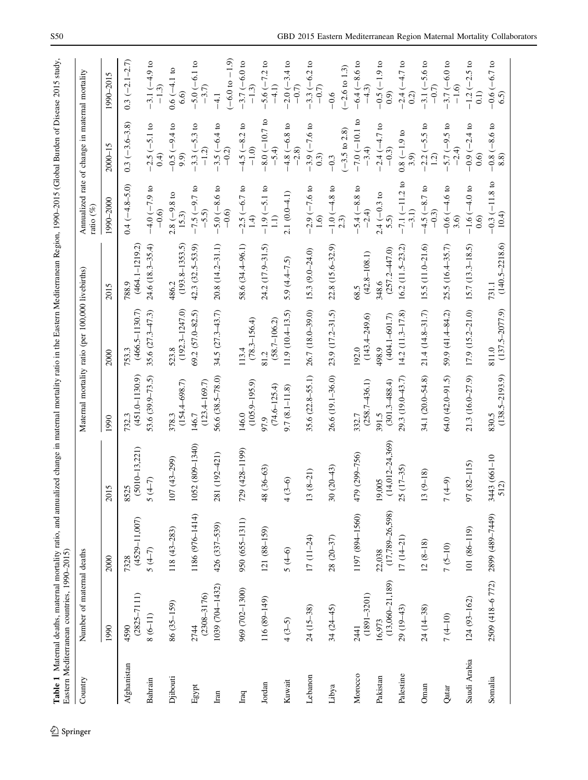<span id="page-3-0"></span>

|              | Table 1 Maternal deaths, maternal mortality ratio, and annualized change in maternal mortality ratio in the Eastern Mediterranean Region, 1990-2015 (Global Burden of Disease 2015 study,<br>Eastern Mediterranean countries, 1990-2015) |                               |                                     |                             |                                                   |                             |                                  |                                                 |                                     |
|--------------|------------------------------------------------------------------------------------------------------------------------------------------------------------------------------------------------------------------------------------------|-------------------------------|-------------------------------------|-----------------------------|---------------------------------------------------|-----------------------------|----------------------------------|-------------------------------------------------|-------------------------------------|
| Country      | Number of maternal deaths                                                                                                                                                                                                                |                               |                                     |                             | Maternal mortality ratio (per 100,000 livebirths) |                             | ratio $(\%)$                     | Annualized rate of change in maternal mortality |                                     |
|              | 1990                                                                                                                                                                                                                                     | 2000                          | 2015                                | 1990                        | 2000                                              | 2015                        | 1990-2000                        | $2000 - 15$                                     | 1990-2015                           |
| Afghanistan  | $(2825 - 7111)$<br>4590                                                                                                                                                                                                                  | $(4529 - 11,007)$<br>7328     | $(5010 - 13,221)$<br>8525           | $(451.0 - 1130.9)$<br>732.3 | $(466.5 - 1130.7)$<br>753.3                       | $(464.1 - 1219.2)$<br>788.9 | $0.4 (-4.8 - 5.0)$               | $0.3 (-3.6 - 3.8)$                              | $0.3 (-2.1 - 2.7)$                  |
| Bahrain      | $8(6-11)$                                                                                                                                                                                                                                | $5(4-7)$                      | $(1-1)$<br>$\mathbf{\hat{z}}$       | 53.6 (39.9-73.5)            | 35.6 $(27.3 - 47.3)$                              | $24.6(18.3 - 35.4)$         | $-4.0 (-7.9)$<br>$-0.6$          | $-2.5 (-5.1 \text{ to} 0.4)$                    | $-3.1 (-4.9)$<br>$-1.3$             |
| Djibouti     | 86 (35-159)                                                                                                                                                                                                                              | 118 (43-283)                  | $107(43-299)$                       | $(154.4 - 698.7)$<br>378.3  | $(192.3 - 1247.0)$<br>523.8                       | $(193.8 - 1353.5)$<br>486.2 | $2.8(-9.8)$<br>15.3)             | $-0.5 (-9.4 \text{ to} 9.9)$                    | $0.6 (-4.1)$<br>6.6)                |
| Egypt        | $(2308 - 3176)$<br>2744                                                                                                                                                                                                                  | 1186 (976-1414)               | 1052 (809-1340)                     | $(123.4 - 169.7)$<br>146.7  | $69.2 (57.0 - 82.5)$                              | $42.3(32.5-53.9)$           | $-7.5 (-9.7)$ to<br>$-5.5$       | $-3.3 (-5.3)$<br>$-1.2$                         | $-5.0 (-6.1 \text{ to}$<br>$-3.7$   |
| Iran         | 1039 (704-1432)                                                                                                                                                                                                                          | 426 (337-539)                 | 281 (192-421)                       | 56.6 (38.5-78.0)            | 34.5 (27.3-43.7)                                  | $20.8(14.2 - 31.1)$         | $-5.0 (-8.6 \text{ to } -0.6)$   | $-3.5 (-6.4 \text{ to}$<br>-0.2)                | $(-6.0 \text{ to } -1.9)$<br>$-4.1$ |
| Iraq         | 969 (702-1300)                                                                                                                                                                                                                           | 950 (655-1311)                | 729 (428-1199)                      | $(105.9 - 195.9)$<br>146.0  | $(78.3 - 156.4)$<br>113.4                         | 58.6 (34.4-96.1)            | $-2.5 (-6.7 \text{ to} 1.4)$     | $-4.5 (-8.2 \text{ to}$<br>-1.0)                | $-3.7 (-6.0 \text{ to } -1.3)$      |
| Jordan       | 116 (89-149)                                                                                                                                                                                                                             | 121 (88-159)                  | 48 (36-63)                          | $(74.6 - 125.4)$<br>97.9    | $(58.7 - 106.2)$<br>81.2                          | $24.2(17.9-31.5)$           | $-1.9 (-5.1 \text{ to} 1.1)$     | $-8.0 (-10.7 \text{ to}$<br>-5.4)               | $-5.6 (-7.2 \text{ to}$<br>-4.1)    |
| Kuwait       | $4(3-5)$                                                                                                                                                                                                                                 | $5(4-6)$                      | $(3-6)$<br>4                        | $9.7(8.1 - 11.8)$           | $11.9(10.4-13.5)$                                 | 5.9 $(4.4-7.5)$             | $2.1(0.0 - 4.1)$                 | $-4.8 (-6.8 \text{ to}$<br>-2.8)                | $-2.0 (-3.4 \text{ to}$<br>-0.7)    |
| Lebanon      | 24 (15-38)                                                                                                                                                                                                                               | $17(11-24)$                   | $3(8-21)$                           | $35.6(22.8 - 55.1)$         | 26.7 (18.0-39.0)                                  | $15.3(9.0-24.0)$            | $-2.9 (-7.6 \text{ to} 1.6)$     | $-3.9$ ( $-7.6$ to<br>0.3)                      | $-3.3 (-6.2)$<br>$-0.7)$            |
| Libya        | 34 (24-45)                                                                                                                                                                                                                               | 28 (20-37)                    | $30(20-43)$                         | 26.6 (19.1-36.0)            | $23.9$ $(17.2 - 31.5)$                            | 22.8 (15.6–32.9)            | $-1.0 (-4.8 \text{ to} 2.3)$     | $(-3.5 \text{ to } 2.8)$<br>$-0.3$              | $(-2.6 \text{ to } 1.3)$<br>$-0.6$  |
| Morocco      | $(1891 - 3201)$<br>2441                                                                                                                                                                                                                  | 1197 (894-1560)               | 479 (299-756)                       | $(258.7 - 436.1)$<br>332.7  | $(143.4 - 249.6)$<br>192.0                        | $(42.8 - 108.1)$<br>68.5    | $-5.4 (-8.8 \text{ to}$<br>-2.4) | $-7.0$ ( $-10.1$ to<br>$-3.4$                   | $-6.4 (-8.6 \text{ to}$<br>$-4.3)$  |
| Pakistan     | $(13,060 - 21,189)$<br>16,973                                                                                                                                                                                                            | $(17,789 - 26,598)$<br>22,038 | $19,005$<br>(14,012–24,369)         | $(301.3 - 488.4)$<br>391.5  | $(404.1 - 601.7)$<br>498.9                        | $(257.2 - 447.0)$<br>348.6  | $2.4 (-0.3)$<br>5.5)             | $-2.4 (-4.7 to$<br>$-0.3$                       | $-0.5 (-1.9)$ to 0.9)               |
| Palestine    | $29(19-43)$                                                                                                                                                                                                                              | $17(14-21)$                   | $25(17-35)$                         | $29.3(19.0 - 43.7)$         | $14.2(11.3 - 17.8)$                               | $16.2(11.5-23.2)$           | $-7.1(-11.2$<br>$-3.1)$          | $0.8 (-1.9)$<br>3.9)                            | $-2.4 (-4.7 \text{ to} 0.2)$        |
| Oman         | 24 (14-38)                                                                                                                                                                                                                               | $12(8-18)$                    | $3(9-18)$                           | 34.1 (20.0-54.8)            | $21.4(14.8 - 31.7)$                               | $15.5(11.0-21.6)$           | $-4.5 (-8.7 \text{ to}$<br>-0.3) | $-2.2$ (-5.5 to<br>1.2)                         | $-3.1 (-5.6 \text{ to } -0.7)$      |
| Qatar        | $7(4-10)$                                                                                                                                                                                                                                | $7(5-10)$                     | $(4-9)$<br>$\overline{\phantom{0}}$ | $64.0(42.0 - 91.5)$         | 59.9 (41.4-84.2)                                  | 25.5 (16.4-35.7)            | $-0.6 (-4.6 \text{ to} 3.6)$     | $-5.7 (-9.5)$<br>$-2.4$                         | $-3.7 (-6.0 \text{ to}$<br>-1.6)    |
| Saudi Arabia | $124(93-162)$                                                                                                                                                                                                                            | 101 (86-119)                  | 97 (82-115)                         | $21.3(16.0 - 27.9)$         | $17.9(15.2-21.0)$                                 | $15.7(13.3-18.5)$           | $-1.6 (-4.0 \text{ to} 0.6)$     | $-0.9 (-2.4 \text{ to}$<br>0.6)                 | $-1.2 (-2.5)$ to 0.1)               |
| Somalia      | 2509 (418-6 772)                                                                                                                                                                                                                         | 2899 (489-7449)               | $3443(661-10$<br>$512)$             | $(138.5 - 2193.9)$<br>830.5 | $(137.5 - 2077.9)$<br>811.0                       | $(140.5 - 2218.6)$<br>731.1 | $-0.3 (-11.8 \text{ to} 10.4)$   | $-0.8$ $(-8.6$ to $8.8)$                        | $-0.6 (-6.7 \text{ to} 6.5)$        |

 $\underline{\textcircled{\tiny 2}}$  Springer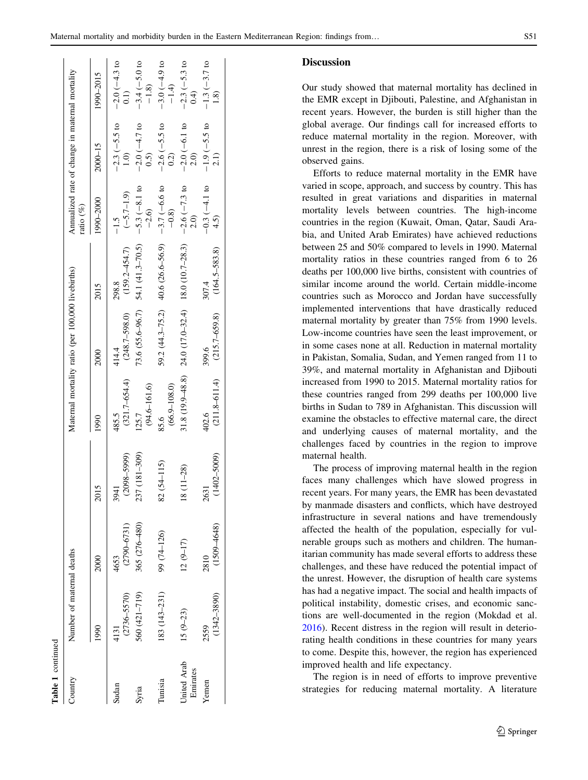| Country                 | Number of maternal deaths |                         |                         |                            | Maternal mortality ratio (per 100,000 livebirths)     |                            | ratio (%)                | Annualized rate of change in maternal mortality |                                |
|-------------------------|---------------------------|-------------------------|-------------------------|----------------------------|-------------------------------------------------------|----------------------------|--------------------------|-------------------------------------------------|--------------------------------|
|                         | 1990                      | 2000                    | 2015                    | 1990                       | 2000                                                  | 2015                       | 990-2000                 | 2000-15                                         | 1990-2015                      |
| Sudan                   | $(2736 - 5570)$<br>4131   | $(2790 - 6731)$<br>4653 | $(2098 - 5999)$<br>3941 | $(321.7 - 654.4)$<br>485.5 | $(248.7 - 598.0)$<br>414.4                            | $(159.2 - 454.7)$<br>298.8 | $(-5.7 - 1.9)$<br>$-1.5$ | $-2.3$ (-5.5 to $-2.0$ (-4.3 to<br>1.0)         | $\overline{0.1}$               |
| Syria                   | 560 (421-719)             | 365 (276-480)           | 237 (181-309)           | $(94.6 - 161.6)$<br>125.7  | $73.6 (55.6 - 96.7)$                                  | 54.1 (41.3-70.5)           | $-5.3 (-8.1)$<br>$-2.6$  | $-2.0 (-4.7 to$<br>(5)                          | $-3.4 (-5.0 to$<br>$-1.8$      |
| Tunisia                 | 183 (143-231)             | 99 (74-126)             | $82(54 - 115)$          | $(66.9 - 108.0)$<br>85.6   | $59.2 (44.3 - 75.2)$ 40.6 (26.6–56.9)                 |                            | $-3.7 (-6.6)$<br>$-0.8$  | $-2.6 (-5.5)$<br>0.2)                           | $-3.0(-4.9)$ to<br>$-1.4$      |
| United Arab<br>Emirates | $15(9-23)$                | $12(9-17)$              | $8(11-28)$              |                            | $31.8(19.9-48.8)$ $24.0(17.0-32.4)$ $18.0(10.7-28.3)$ |                            | $-2.6(-7.3)$<br>2.0)     | $-2.0 (-6.1 \text{ to}$<br>2.0)                 | $-2.3 (-5.3)$<br>0.4)          |
| Yemen                   | $(1342 - 3890)$<br>2559   | $(1509 - 4648)$<br>2810 | $(1402 - 5009)$<br>2631 | $(211.8 - 611.4)$<br>402.6 | $(215.7 - 659.8)$<br>399.6                            | $(164.5 - 583.8)$<br>307.4 | $-0.3 (-4.1)$<br>4.5)    | $-1.9 (-5.5)$<br>(1)                            | $-1.3 (-3.7)$<br>$\frac{8}{1}$ |
|                         |                           |                         |                         |                            |                                                       |                            |                          |                                                 |                                |

Table 1 continued

Table 1 continued

#### **Discussion**

Our study showed that maternal mortality has declined in the EMR except in Djibouti, Palestine, and Afghanistan in recent years. However, the burden is still higher than the global average. Our findings call for increased efforts to reduce maternal mortality in the region. Moreover, with unrest in the region, there is a risk of losing some of the observed gains.

Efforts to reduce maternal mortality in the EMR have varied in scope, approach, and success by country. This has resulted in great variations and disparities in maternal mortality levels between countries. The high-income countries in the region (Kuwait, Oman, Qatar, Saudi Arabia, and United Arab Emirates) have achieved reductions between 25 and 50% compared to levels in 1990. Maternal mortality ratios in these countries ranged from 6 to 26 deaths per 100,000 live births, consistent with countries of similar income around the world. Certain middle-income countries such as Morocco and Jordan have successfully implemented interventions that have drastically reduced maternal mortality by greater than 75% from 1990 levels. Low-income countries have seen the least improvement, or in some cases none at all. Reduction in maternal mortality in Pakistan, Somalia, Sudan, and Yemen ranged from 11 to 39%, and maternal mortality in Afghanistan and Djibouti increased from 1990 to 2015. Maternal mortality ratios for these countries ranged from 299 deaths per 100,000 live births in Sudan to 789 in Afghanistan. This discussion will examine the obstacles to effective maternal care, the direct and underlying causes of maternal mortality, and the challenges faced by countries in the region to improve maternal health.

The process of improving maternal health in the region faces many challenges which have slowed progress in recent years. For many years, the EMR has been devastated by manmade disasters and conflicts, which have destroyed infrastructure in several nations and have tremendously affected the health of the population, especially for vulnerable groups such as mothers and children. The humanitarian community has made several efforts to address these challenges, and these have reduced the potential impact of the unrest. However, the disruption of health care systems has had a negative impact. The social and health impacts of political instability, domestic crises, and economic sanctions are well-documented in the region (Mokdad et al. [2016](#page-13-0)). Recent distress in the region will result in deteriorating health conditions in these countries for many years to come. Despite this, however, the region has experienced improved health and life expectancy.

The region is in need of efforts to improve preventive strategies for reducing maternal mortality. A literature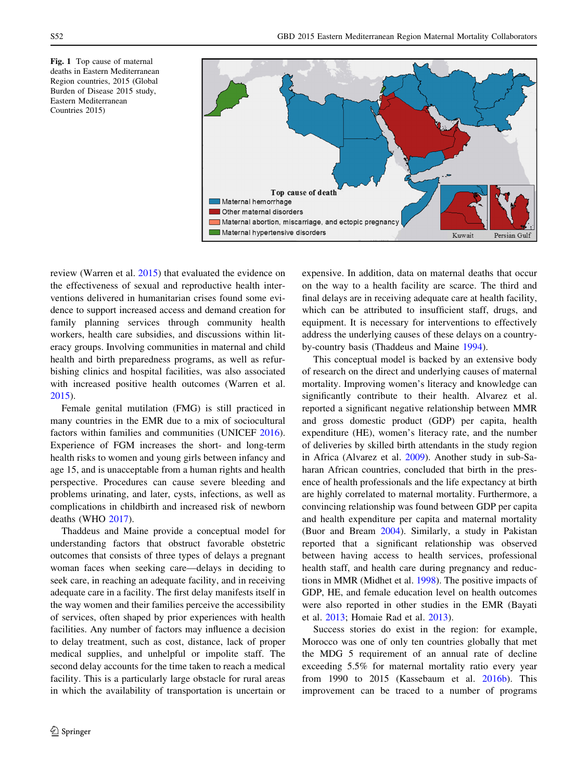<span id="page-5-0"></span>Fig. 1 Top cause of maternal deaths in Eastern Mediterranean Region countries, 2015 (Global Burden of Disease 2015 study, Eastern Mediterranean Countries 2015)



review (Warren et al. [2015](#page-14-0)) that evaluated the evidence on the effectiveness of sexual and reproductive health interventions delivered in humanitarian crises found some evidence to support increased access and demand creation for family planning services through community health workers, health care subsidies, and discussions within literacy groups. Involving communities in maternal and child health and birth preparedness programs, as well as refurbishing clinics and hospital facilities, was also associated with increased positive health outcomes (Warren et al. [2015\)](#page-14-0).

Female genital mutilation (FMG) is still practiced in many countries in the EMR due to a mix of sociocultural factors within families and communities (UNICEF [2016](#page-13-0)). Experience of FGM increases the short- and long-term health risks to women and young girls between infancy and age 15, and is unacceptable from a human rights and health perspective. Procedures can cause severe bleeding and problems urinating, and later, cysts, infections, as well as complications in childbirth and increased risk of newborn deaths (WHO [2017](#page-14-0)).

Thaddeus and Maine provide a conceptual model for understanding factors that obstruct favorable obstetric outcomes that consists of three types of delays a pregnant woman faces when seeking care—delays in deciding to seek care, in reaching an adequate facility, and in receiving adequate care in a facility. The first delay manifests itself in the way women and their families perceive the accessibility of services, often shaped by prior experiences with health facilities. Any number of factors may influence a decision to delay treatment, such as cost, distance, lack of proper medical supplies, and unhelpful or impolite staff. The second delay accounts for the time taken to reach a medical facility. This is a particularly large obstacle for rural areas in which the availability of transportation is uncertain or expensive. In addition, data on maternal deaths that occur on the way to a health facility are scarce. The third and final delays are in receiving adequate care at health facility, which can be attributed to insufficient staff, drugs, and equipment. It is necessary for interventions to effectively address the underlying causes of these delays on a countryby-country basis (Thaddeus and Maine [1994\)](#page-13-0).

This conceptual model is backed by an extensive body of research on the direct and underlying causes of maternal mortality. Improving women's literacy and knowledge can significantly contribute to their health. Alvarez et al. reported a significant negative relationship between MMR and gross domestic product (GDP) per capita, health expenditure (HE), women's literacy rate, and the number of deliveries by skilled birth attendants in the study region in Africa (Alvarez et al. [2009\)](#page-13-0). Another study in sub-Saharan African countries, concluded that birth in the presence of health professionals and the life expectancy at birth are highly correlated to maternal mortality. Furthermore, a convincing relationship was found between GDP per capita and health expenditure per capita and maternal mortality (Buor and Bream [2004\)](#page-13-0). Similarly, a study in Pakistan reported that a significant relationship was observed between having access to health services, professional health staff, and health care during pregnancy and reductions in MMR (Midhet et al. [1998\)](#page-13-0). The positive impacts of GDP, HE, and female education level on health outcomes were also reported in other studies in the EMR (Bayati et al. [2013;](#page-13-0) Homaie Rad et al. [2013](#page-13-0)).

Success stories do exist in the region: for example, Morocco was one of only ten countries globally that met the MDG 5 requirement of an annual rate of decline exceeding 5.5% for maternal mortality ratio every year from 1990 to 2015 (Kassebaum et al. [2016b\)](#page-13-0). This improvement can be traced to a number of programs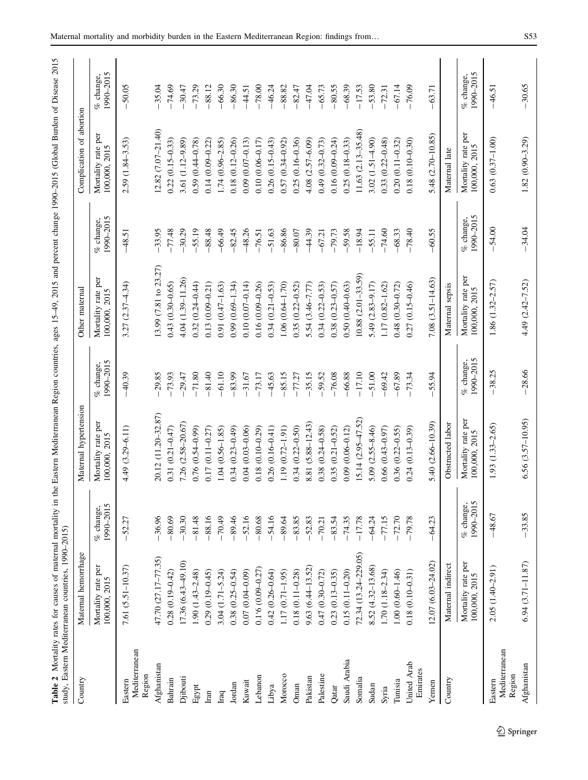<span id="page-6-0"></span>

| Ì                                                                         |             |
|---------------------------------------------------------------------------|-------------|
|                                                                           |             |
|                                                                           |             |
|                                                                           |             |
| l                                                                         |             |
|                                                                           |             |
|                                                                           |             |
| :<br>יובי ה                                                               |             |
| ם בניסונים לביט                                                           |             |
|                                                                           |             |
|                                                                           |             |
|                                                                           |             |
|                                                                           |             |
|                                                                           |             |
|                                                                           |             |
|                                                                           |             |
| Ē                                                                         |             |
| Ĭ<br>֧֧֧֧֧֧֧֧֧֧֧֧֚֚֚֚֚֚֚֚֝֝֬֝֬֝֓֕֓֝֬֝֬֝֓֝֬֝֬֝֬֝֬֝֬֝֬֝֬֝֬֝֬֝֬֝֬֝֬֝֬֝֬֝֬֝֬֝ |             |
|                                                                           |             |
|                                                                           |             |
|                                                                           |             |
| carion acumtmas c                                                         |             |
|                                                                           |             |
| I                                                                         |             |
|                                                                           |             |
|                                                                           |             |
|                                                                           |             |
|                                                                           |             |
| ļ                                                                         |             |
| JP ⊐r                                                                     |             |
|                                                                           |             |
|                                                                           |             |
| .<br>.<br>.                                                               | í<br>i<br>J |
| .<br>ب                                                                    | l           |
|                                                                           |             |
|                                                                           |             |
|                                                                           |             |
|                                                                           |             |
|                                                                           |             |
|                                                                           |             |
|                                                                           |             |
|                                                                           |             |
|                                                                           | l<br>ļ      |
|                                                                           |             |
|                                                                           |             |

|                                    | study, Eastern Mediterranean countries, 1990-2015) |                          |                                     |                           |                                     |                           |                                     |                          |
|------------------------------------|----------------------------------------------------|--------------------------|-------------------------------------|---------------------------|-------------------------------------|---------------------------|-------------------------------------|--------------------------|
| Country                            | Maternal hemorrhage                                |                          | Maternal hypertension               |                           | Other maternal                      |                           | Complication of abortion            |                          |
|                                    | Mortality rate per<br>100,000, 2015                | 1990-2015<br>$%$ change, | Mortality rate per<br>100,000, 2015 | 1990-2015<br>$%$ change,  | Mortality rate per<br>100,000, 2015 | 1990-2015<br>$%$ change,  | Mortality rate per<br>100,000, 2015 | 1990-2015<br>$%$ change, |
| Mediterranean<br>Region<br>Eastern | 7.61 (5.51-10.37)                                  | $-52.27$                 | 4.49 (3.29-6.11)                    | $-40.39$                  | $3.27(2.37 - 4.34)$                 | $-48.51$                  | $2.59(1.84 - 3.53)$                 | 50.05                    |
| Afghanistan                        | 47.70 (27.17-77.35)                                | 36.96                    | 20.12 (11.20-32.87)                 | $-29.85$                  | 3.99 (7.81 to 23.27)                | 33.95                     | $12.82(7.07-21.40)$                 | 35.04                    |
| Bahrain                            | $0.28(0.19 - 0.42)$                                | $-80.69$                 | $0.31(0.21 - 0.47)$                 | $-73.93$                  | $0.43(0.30 - 0.65)$                 | $-77.48$                  | $0.22(0.15-0.33)$                   | $-74.69$                 |
| Djibouti                           | $(7.36(6.43-49.10))$                               | $-30.30$                 | 7.26 (2.58-20.67)                   | $-29.47$                  | 4.04 (1.39-11.26)                   | 30.29                     | 3.61 (1.12-9.89)                    | $-30.47$                 |
| Egypt                              | $1.90(1.43 - 2.48)$                                | $-81.48$                 | $0.76(0.54 - 0.99)$                 | $-71.80$                  | $(0.24 - 0.44)$<br>0.32             | 55.19                     | $0.59(0.44 - 0.78)$                 | $-73.29$                 |
| Iran                               | $0.29(0.19 - 0.45)$                                | $-88.16$                 | $0.17(0.11 - 0.27)$                 | $-81.40$                  | $(0.09 - 0.21)$<br>0.13             | $-88.48$                  | $(0.09 - 0.22)$<br>0.14             | $-88.12$                 |
| Iraq                               | $3.04(1.71 - 5.24)$                                | $-70.49$                 | $1.04(0.56-1.85)$                   | $-61.10$                  | $(0.47 - 1.63)$<br>0.91             | $-66.49$                  | $(0.96 - 2.85)$<br>1.74             | $-66.30$                 |
| Jordan                             | $0.38(0.25 - 0.54)$                                | $-89.46$                 | $0.34(0.23 - 0.49)$                 | $-83.99$                  | $(0.69 - 1.34)$<br>0.99             | $-82.45$                  | $(0.12 - 0.26)$<br>0.18             | $-86.30$                 |
| Kuwait                             | $0.07(0.04 - 0.09)$                                | $-52.16$                 | $0.04(0.03 - 0.06)$                 | $-31.67$                  | $0.10(0.07 - 0.14)$                 | $-48.26$                  | $(0.07 - 0.13)$<br>0.09             | $-44.51$                 |
| Lebanon                            | $0.16(0.09 - 0.27)$                                | $-80.68$                 | $0.18(0.10-0.29)$                   | $-73.17$                  | 0.16 (0.09-0.26)                    | $-76.51$                  | $0.10(0.06 - 0.17)$                 | $-78.00$                 |
| Libya                              | $0.42(0.26 - 0.64)$                                | $-54.16$                 | $0.26(0.16 - 0.41)$                 | $-45.63$                  | $0.34(0.21 - 0.53)$                 | $-51.63$                  | $(0.15 - 0.43)$<br>0.26             | $-46.24$                 |
| Morocco                            | $1.17(0.71 - 1.95)$                                | $-89.64$                 | $1.19(0.72 - 1.91)$                 | $-85.15$                  | $1.06(0.64 - 1.70)$                 | $-86.86$                  | $0.57(0.34 - 0.92)$                 | $-88.82$                 |
| Oman                               | $0.18(0.11 - 0.28)$                                | $-83.85$                 | $0.34(0.22 - 0.50)$                 | $-77.27$                  | $(0.22 - 0.52)$<br>0.35             | $-80.07$                  | $(0.16 - 0.36)$<br>0.25             | $-82.47$                 |
| Pakistan                           | $9.63(6.44-13.52)$                                 | $-52.83$                 | 8.81 (5.88–12.43)                   | $-35.15$                  | $(3.46 - 7.77)$<br>5.54             | $-44.39$                  | $(2.57 - 6.09)$<br>4.08             | $-47.04$                 |
| Palestine                          | $0.47(0.30 - 0.72)$                                | $-70.21$                 | $0.38(0.24 - 0.58)$                 | $-59.52$                  | $0.34(0.22 - 0.53)$                 | $-67.21$                  | $0.49(0.32 - 0.73)$                 | $-65.73$                 |
| Qatar                              | $0.23(0.13 - 0.35)$                                | $-83.54$                 | $0.35(0.21 - 0.52)$                 | $-76.08$                  | $0.38(0.23 - 0.57)$                 | $-79.73$                  | $0.16(0.09 - 0.24)$                 | $-80.55$                 |
| Saudi Arabia                       | $0.15(0.11 - 0.20)$                                | $-74.35$                 | $0.09(0.06 - 0.12)$                 | $-66.88$                  | $0.50(0.40 - 0.63)$                 | $-59.58$                  | $0.25(0.18-0.33)$                   | $-68.39$                 |
| Somalia                            | 72.34 (13.24-229.05)                               | $-17.78$                 | $15.14(2.95-47.52)$                 | $-17.10$                  | $10.88(2.01-33.59)$                 | $-18.94$                  | $11.63(2.13-35.48)$                 | $-17.53$                 |
| Sudan                              | 8.52 (4.32–13.68)                                  | $-64.24$                 | $5.09(2.55 - 8.46)$                 | $-51.00$                  | $5.49(2.83 - 9.17)$                 | $-55.11$                  | $3.02(1.51-4.90)$                   | $-53.80$                 |
| Syria                              | 1.70 (1.18-2.34)                                   | $-77.15$                 | $0.66(0.43 - 0.97)$                 | $-69.42$                  | $1.17(0.82 - 1.62)$                 | $-74.60$                  | $0.33(0.22 - 0.48)$                 | $-72.31$                 |
| Tunisia                            | $1.00(0.60-1.46)$                                  | $-72.70$                 | $0.36(0.22 - 0.55)$                 | $-67.89$                  | $0.48(0.30 - 0.72)$                 | $-68.33$                  | $0.20(0.11 - 0.32)$                 | $-67.14$                 |
| United Arab<br>Emirates            | $0.18(0.10 - 0.31)$                                | $-79.78$                 | $0.24(0.13-0.39)$                   | $-73.34$                  | $0.27(0.15 - 0.46)$                 | $-78.40$                  | $0.18(0.10 - 0.30)$                 | $-76.09$                 |
| Yemen                              | $12.07(6.03 - 24.02)$                              | 64.23                    | 5.40 (2.66-10.39)                   | $-55.94$                  | $7.08(3.51 - 14.63)$                | $-60.55$                  | $5.48(2.70-10.85)$                  | 63.71                    |
| Country                            | Maternal indirect                                  |                          | Obstructed labor                    |                           | Maternal sepsis                     |                           | Matemal late                        |                          |
|                                    | Mortality rate per<br>100,000, 2015                | 1990-2015<br>$%$ change, | Mortality rate per<br>100,000, 2015 | 1990-2015<br>$\%$ change, | Mortality rate per<br>100,000, 2015 | 1990-2015<br>$\%$ change, | Mortality rate per<br>100,000, 2015 | 1990-2015<br>$%$ change, |
| Mediterranean<br>Region<br>Eastern | $2.05(1.40-2.91)$                                  | $-48.67$                 | $1.93(1.33 - 2.65)$                 | $-38.25$                  | $1.86(1.32 - 2.57)$                 | $-54.00$                  | $0.63(0.37-1.00)$                   | $-46.51$                 |
| Afghanistan                        | $6.94(3.71 - 11.87)$                               | $-33.85$                 | 6.56 (3.57-10.95)                   | $-28.66$                  | $4.49(2.42 - 7.52)$                 | $-34.04$                  | $1.82(0.90 - 3.29)$                 | $-30.65$                 |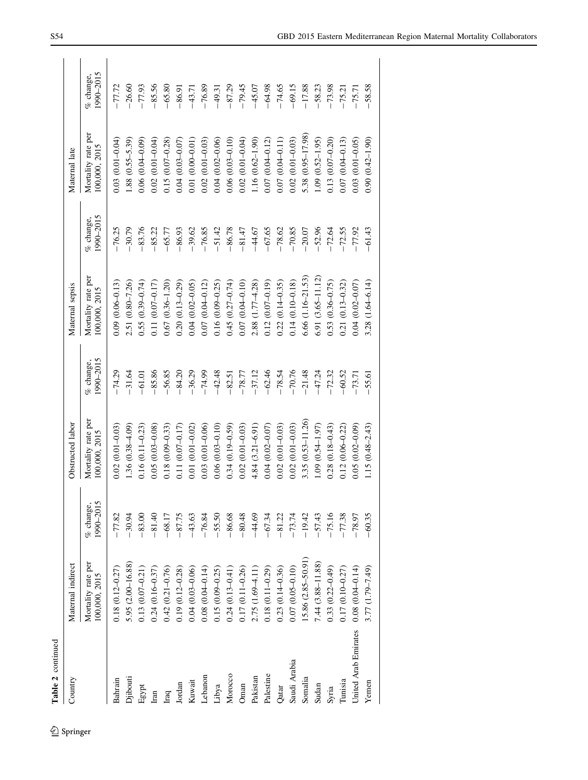| Table 2 continued    |                                     |                        |                                     |                          |                                     |                          |                                     |                          |
|----------------------|-------------------------------------|------------------------|-------------------------------------|--------------------------|-------------------------------------|--------------------------|-------------------------------------|--------------------------|
| Country              | Maternal indirect                   |                        | Obstructed labor                    |                          | Maternal sepsis                     |                          | Maternal late                       |                          |
|                      | Mortality rate per<br>100,000, 2015 | 1990-2015<br>% change, | Mortality rate per<br>100,000, 2015 | 1990-2015<br>$%$ change, | Mortality rate per<br>100,000, 2015 | 1990-2015<br>$%$ change, | Mortality rate per<br>100,000, 2015 | 1990-2015<br>$%$ change, |
| Bahrain              | $0.18(0.12 - 0.27)$                 | $-77.82$               | $0.02(0.01 - 0.03)$                 | $-74.29$                 | $0.09(0.06 - 0.13)$                 | $-76.25$                 | $0.03(0.01 - 0.04)$                 | $-77.72$                 |
| Djibouti             | $5.95(2.00-16.88)$                  | $-30.94$               | $1.36(0.38 - 4.09)$                 | $-31.64$                 | $2.51(0.80 - 7.26)$                 | $-30.79$                 | $1.88(0.55 - 5.39)$                 | $-26.60$                 |
| Egypt                | $0.13(0.07-0.21)$                   | $-83.00$               | $0.16(0.11 - 0.23)$                 | $-61.01$                 | $0.55(0.39 - 0.74)$                 | $-83.76$                 | $0.06(0.04 - 0.09)$                 | $-77.93$                 |
| Iran                 | $0.24(0.16 - 0.37)$                 | $-81.40$               | $0.05(0.03 - 0.08)$                 | $-85.86$                 | $0.11(0.07 - 0.17)$                 | $-85.22$                 | $0.02(0.01 - 0.04)$                 | $-85.56$                 |
| Iraq                 | $0.42(0.21 - 0.76)$                 | $-68.17$               | $0.18(0.09 - 0.33)$                 | $-56.85$                 | $0.67(0.36 - 1.20)$                 | $-65.77$                 | $0.15(0.07 - 0.28)$                 | $-65.80$                 |
| Jordan               | 0.19 (0.12-0.28)                    | $-87.75$               | 0.07-0.17                           | $-84.20$                 | $0.20(0.13 - 0.29)$                 | $-86.93$                 | $0.04(0.03 - 0.07)$                 | $-86.91$                 |
| Kuwait               | $0.04(0.03 - 0.06)$                 | $-43.63$               | $0.01(0.01-0.02)$                   | $-36.29$                 | $0.04(0.02 - 0.05)$                 | $-39.62$                 | $0.01(0.00 - 0.01)$                 | $-43.71$                 |
| Lebanon              | $0.08(0.04 - 0.14)$                 | $-76.84$               | $0.03(0.01-0.06)$                   | $-74.99$                 | $0.07(0.04 - 0.12)$                 | $-76.85$                 | $0.02(0.01 - 0.03)$                 | $-76.89$                 |
| Libya                | $0.15(0.09 - 0.25)$                 | $-55.50$               | $0.06(0.03 - 0.10)$                 | $-42.48$                 | $0.16(0.09 - 0.25)$                 | $-51.42$                 | $0.04(0.02 - 0.06)$                 | $-49.31$                 |
| Morocco              | $0.24(0.13 - 0.41)$                 | $-86.68$               | $0.34(0.19 - 0.59)$                 | 82.51                    | $0.45(0.27-0.74)$                   | $-86.78$                 | $0.06(0.03 - 0.10)$                 | $-87.29$                 |
| Oman                 | 0.17 (0.11-0.26)                    | $-80.48$               | $0.02(0.01 - 0.03)$                 | $-78.77$                 | $0.07(0.04 - 0.10)$                 | $-81.47$                 | $0.02(0.01 - 0.04)$                 | $-79.45$                 |
| Pakistan             | $2.75(1.69 - 4.11)$                 | $-44.69$               | $4.84(3.21 - 6.91)$                 | $-37.12$                 | 2.88 (1.77-4.28)                    | $-44.67$                 | $1.16(0.62 - 1.90)$                 | $-45.07$                 |
| Palestine            | $0.18(0.11 - 0.29)$                 | $-67.34$               | $0.04(0.02 - 0.07)$                 | $-62.46$                 | $0.12(0.07 - 0.19)$                 | $-67.65$                 | $0.07(0.04 - 0.12)$                 | $-64.98$                 |
| Qatar                | $0.23(0.14-0.36)$                   | $-81.22$               | $0.02(0.01 - 0.03)$                 | $-78.54$                 | $0.22(0.14 - 0.35)$                 | $-78.62$                 | $0.07(0.04 - 0.11)$                 | $-74.65$                 |
| Saudi Arabia         | $0.07(0.05 - 0.10)$                 | $-73.74$               | $0.02(0.01 - 0.03)$                 | $-70.76$                 | $0.14(0.10-0.18)$                   | $-70.85$                 | $0.02(0.01 - 0.03)$                 | $-69.15$                 |
| Somalia              | $15.86$ $(2.85 - 50.91)$            | $-19.42$               | $3.35(0.53 - 11.26)$                | $-21.48$                 | $6.66$ $(1.16 - 21.53)$             | $-20.07$                 | 5.38 (0.95-17.98)                   | $-17.88$                 |
| Sudan                | 7.44 (3.88-11.88)                   | $-57.43$               | $(0.54 - 1.97)$                     | $-47.24$                 | $6.91(3.65 - 11.12)$                | $-52.96$                 | $1.09(0.52 - 1.95)$                 | $-58.23$                 |
| Syria                | $0.33(0.22 - 0.49)$                 | $-75.16$               | $0.28(0.18-0.43)$                   | $-72.32$                 | $0.53(0.36 - 0.75)$                 | $-72.64$                 | $0.13(0.07 - 0.20)$                 | $-73.98$                 |
| Tunisia              | 0.17 (0.10-0.27)                    | $-77.38$               | $0.12(0.06 - 0.22)$                 | $-60.52$                 | $0.21(0.13 - 0.32)$                 | $-72.55$                 | $0.07(0.04 - 0.13)$                 | $-75.21$                 |
| United Arab Emirates | $0.08(0.04 - 0.14)$                 | $-78.97$               | $0.05(0.02 - 0.09)$                 | $-73.71$                 | $0.04(0.02 - 0.07)$                 | $-77.92$                 | $0.03(0.01 - 0.05)$                 | $-75.71$                 |
| Yemen                | (49.77 (1.79–7.49)                  | $-60.35$               | $1.15(0.48 - 2.43)$                 | $-55.61$                 | $3.28(1.64 - 6.14)$                 | $-61.43$                 | $0.90(0.42 - 1.90)$                 | $-58.58$                 |
|                      |                                     |                        |                                     |                          |                                     |                          |                                     |                          |

 $\underline{\textcircled{\tiny 2}}$  Springer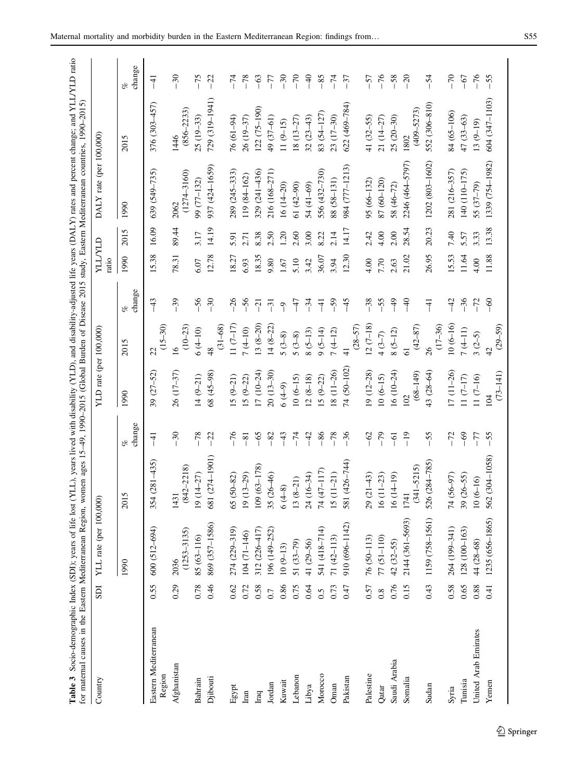<span id="page-8-0"></span>

| Country                         | SDI         | YLL rate (per 100,000)  |                                |               | YLD rate (per 100,000) |                                |                | <b>ALLYLLD</b><br>ratio |       | DALY rate (per 100,000) |                        |              |
|---------------------------------|-------------|-------------------------|--------------------------------|---------------|------------------------|--------------------------------|----------------|-------------------------|-------|-------------------------|------------------------|--------------|
|                                 |             | 1990                    | 5<br>201                       | change<br>of  | 1990                   | 2015                           | change<br>of   | 1990                    | 2015  | 1990                    | 2015                   | change<br>of |
| Eastern Mediterranean<br>Region | 0.55        | 600 (512-694)           | $(281 - 435)$<br>354           | $\frac{1}{4}$ | 39 (27–52)             | $(15 - 30)$<br>22              | $-43$          | 15.38                   | 16.09 | 639 (549–735)           | 376 (303-457)          | $-41$        |
| Afghanistan                     | 0.29        | $(1253 - 3135)$<br>2036 | $(842 - 2218)$<br>1431         | $-30$         | 26 (17-37)             | $(10 - 23)$<br>$\frac{6}{2}$   | $-39$          | 78.31                   | 89.44 | $(1274 - 3160)$<br>2062 | $(856 - 2233)$<br>1446 | $-30$        |
| Bahrain                         | 0.78        | 85 (63-116)             | $19(14-27)$                    | $-78$         | $14(9-21)$             | $6(4-10)$                      | $-56$          | 6.07                    | 3.17  | 99 (77-132)             | $25(19-33)$            | $-75$        |
| Djibouti                        | 0.46        | 869 (357-1586)          | $(274 - 1901)$<br>681          | $-22$         | $68(45-98)$            | $(31 - 68)$<br>48              | $-30$          | 12.78                   | 14.19 | 937 (424-1659)          | 729 (319-1941)         | $-22$        |
| Egypt                           | 0.62        | 274 (229-319)           | $(50 - 82)$<br>65              | $-76$         | $(5(9-21)$             | $11(7-17)$                     | $-26$          | 18.27                   | 5.91  | 289 (245–333)           | 76 (61-94)             | $-74$        |
| Iran                            | 0.72        | 104 (71-146)            | $(13 - 29)$<br>$\overline{19}$ | $-81$         | $(5(9-22))$            | $7(4-10)$                      | $-56$          | 6.93                    | 2.71  | $119(84 - 162)$         | 26 (19-37)             | $-78$        |
| Iraq                            | 0.58        | $312(226 - 417)$        | $109(63 - 178)$                | $-65$         | $17(10-24)$            | $13(8-20)$                     | $-21$          | 18.35                   | 8.38  | 329 (241-436)           | 122 (75-190)           | $-63$        |
| Jordan                          | 0.7         | 196 (149-252)           | $35(26-46)$                    | $-82$         | $20(13-30)$            | $14(8-22)$                     | $-31$          | 9.80                    | 2.50  | 216 (168-271)           | 49 (37-61)             | $-77$        |
| Kuwait                          | 0.86        | $10(9-13)$              | $6(4-8)$                       | $-43$         | $(6 + 6)$              | $5(3-8)$                       | $\overline{0}$ | 1.67                    | 1.20  | $16(14-20)$             | $11(9-15)$             | $-30$        |
| Lebanon                         | 0.75        | 51 $(33-79)$            | $(8 - 21)$<br>$\overline{13}$  | $-74$         | $10(6-15)$             | $5(3-8)$                       | $-47$          | 5.10                    | 2.60  | $61(42-90)$             | $18(13-27)$            | $-70$        |
| Libya                           | 0.64        | 41 (29-56)              | 24 (16-34)                     | $-42$         | $.2(8-18)$             | $8(5-13)$                      | $-34$          | 3.42                    | 3.00  | 54 (41-69)              | $32(23-43)$            | $-40$        |
| Morocco                         | 0.5         | 541 (418-714)           | $(47 - 117)$<br>$\overline{7}$ | $-86$         | $.5(9-22)$             | $(61-5)$ 6                     | $-41$          | 36.07                   | 8.22  | 556 (432-730)           | 83 (54–127)            | $-85$        |
| Oman                            | 0.73        | 71 (42-113)             | $(11 - 21)$<br>$15 \,$         | $-78$         | 18 (11-26)             | $7(4-12)$                      | $-59$          | 3.94                    | 2.14  | 88 (58-131)             | 23 (17-30)             | $-74$        |
| Pakistan                        | 0.47        | 910 (696-1142)          | $(426 - 744)$<br>581           | $-36$         | $74(50-102)$           | $(28 - 57)$<br>╤               | $-45$          | 12.30                   | 14.17 | 984 (777–1213)          | $622(469 - 784)$       | $-37$        |
| Palestine                       | 0.57        | 76 (50-113)             | $(21 - 43)$<br>29              | $-62$         | 19 (12-28)             | $12(7-18)$                     | $-38$          | 4.00                    | 2.42  | 95 (66-132)             | 41 (32-55)             | $-57$        |
| Qatar                           | 0.8         | $77(51 - 110)$          | $(11-23)$<br>$\overline{16}$   | $-79$         | $10(6-15)$             | $4(3-7)$                       | $-55$          | 7.70                    | 4.00  | 87 (60-120)             | $21(14-27)$            | $-76$        |
| Saudi Arabia                    | 0.76        | $42(32-55)$             | $(14 - 19)$<br>$\overline{16}$ | $-61$         | $16(10-24)$            | $8(5-12)$                      | $-49$          | 2.63                    | 2.00  | 58 (46-72)              | 25 (20-30)             | $-58$        |
| Somalia                         | 0.15        | 2144 (361-5693)         | $(341 - 5215)$<br>1741         | $-19$         | $(68 - 149)$<br>102    | $(42 - 87)$<br>$\overline{6}$  | $-40$          | 21.02                   | 28.54 | 2246 (464-5797)         | $(409 - 5273)$<br>1802 | $-20$        |
| Sudan                           | 0.43        | 1159 (758-1561)         | 526 (284-785)                  | $-55$         | 43 (28-64)             | $(17-36)$<br>26                | $-41$          | 26.95                   | 20.23 | 1202 (803-1602)         | 552 (306-810)          | $-54$        |
| Syria                           | 0.58        | 264 (199-341)           | $(56 - 97)$<br>$\overline{7}$  | $-72$         | $17(11-26)$            | $10(6-16)$                     | $-42$          | 15.53                   | 7.40  | 281 (216-357)           | 84 (65-106)            | $-70$        |
| Tunisia                         | 0.65        | 128 (100-163)           | $39(26-55)$                    | $-69$         | $11(7-17)$             | $7(4-11)$                      | $-36$          | 11.64                   | 5.57  | 140 (110-175)           | $47(33-63)$            | $-67$        |
| United Arab Emirates            | $\bf{0.88}$ | 44 (28-68)              | $10(6-16)$                     | $-77$         | $11(7-16)$             | $3(2-5)$                       | $-72$          | 4.00                    | 3.33  | 55 (37-79)              | $13(9-19)$             | $-76$        |
| Yemen                           | 0.41        | 1235 (656-1865)         | $(304 - 1058)$<br>562          | $-55$         | $(73 - 141)$<br>104    | $(29 - 59)$<br>$\overline{42}$ | $-60$          | 11.88                   | 13.38 | 1339 (754-1982)         | 604 (347-1103)         | $-55$        |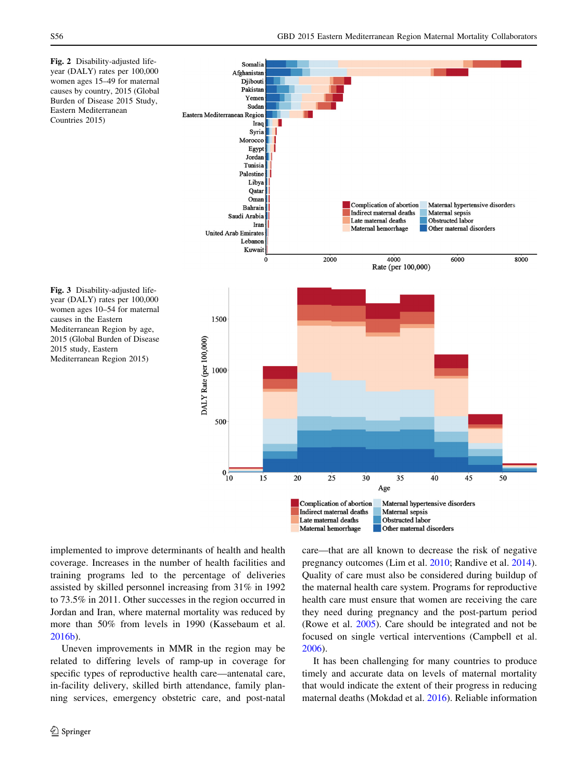<span id="page-9-0"></span>S56 GBD 2015 Eastern Mediterranean Region Maternal Mortality Collaborators



implemented to improve determinants of health and health coverage. Increases in the number of health facilities and training programs led to the percentage of deliveries assisted by skilled personnel increasing from 31% in 1992 to 73.5% in 2011. Other successes in the region occurred in Jordan and Iran, where maternal mortality was reduced by more than 50% from levels in 1990 (Kassebaum et al. [2016b\)](#page-13-0).

Uneven improvements in MMR in the region may be related to differing levels of ramp-up in coverage for specific types of reproductive health care—antenatal care, in-facility delivery, skilled birth attendance, family planning services, emergency obstetric care, and post-natal care—that are all known to decrease the risk of negative pregnancy outcomes (Lim et al. [2010](#page-13-0); Randive et al. [2014](#page-13-0)). Quality of care must also be considered during buildup of the maternal health care system. Programs for reproductive health care must ensure that women are receiving the care they need during pregnancy and the post-partum period (Rowe et al. [2005\)](#page-13-0). Care should be integrated and not be focused on single vertical interventions (Campbell et al. [2006](#page-13-0)).

It has been challenging for many countries to produce timely and accurate data on levels of maternal mortality that would indicate the extent of their progress in reducing maternal deaths (Mokdad et al. [2016\)](#page-13-0). Reliable information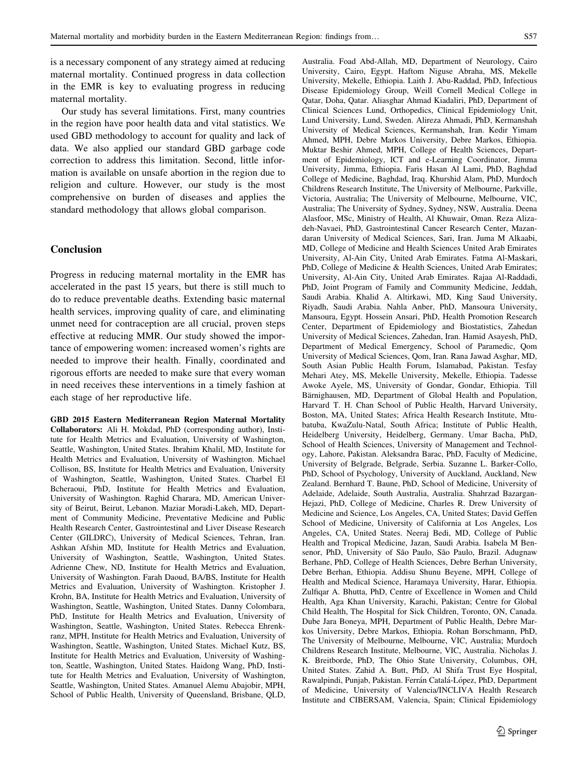is a necessary component of any strategy aimed at reducing maternal mortality. Continued progress in data collection in the EMR is key to evaluating progress in reducing maternal mortality.

Our study has several limitations. First, many countries in the region have poor health data and vital statistics. We used GBD methodology to account for quality and lack of data. We also applied our standard GBD garbage code correction to address this limitation. Second, little information is available on unsafe abortion in the region due to religion and culture. However, our study is the most comprehensive on burden of diseases and applies the standard methodology that allows global comparison.

## Conclusion

Progress in reducing maternal mortality in the EMR has accelerated in the past 15 years, but there is still much to do to reduce preventable deaths. Extending basic maternal health services, improving quality of care, and eliminating unmet need for contraception are all crucial, proven steps effective at reducing MMR. Our study showed the importance of empowering women: increased women's rights are needed to improve their health. Finally, coordinated and rigorous efforts are needed to make sure that every woman in need receives these interventions in a timely fashion at each stage of her reproductive life.

GBD 2015 Eastern Mediterranean Region Maternal Mortality Collaborators: Ali H. Mokdad, PhD (corresponding author), Institute for Health Metrics and Evaluation, University of Washington, Seattle, Washington, United States. Ibrahim Khalil, MD, Institute for Health Metrics and Evaluation, University of Washington. Michael Collison, BS, Institute for Health Metrics and Evaluation, University of Washington, Seattle, Washington, United States. Charbel El Bcheraoui, PhD, Institute for Health Metrics and Evaluation, University of Washington. Raghid Charara, MD, American University of Beirut, Beirut, Lebanon. Maziar Moradi-Lakeh, MD, Department of Community Medicine, Preventative Medicine and Public Health Research Center, Gastrointestinal and Liver Disease Research Center (GILDRC), University of Medical Sciences, Tehran, Iran. Ashkan Afshin MD, Institute for Health Metrics and Evaluation, University of Washington, Seattle, Washington, United States. Adrienne Chew, ND, Institute for Health Metrics and Evaluation, University of Washington. Farah Daoud, BA/BS, Institute for Health Metrics and Evaluation, University of Washington. Kristopher J. Krohn, BA, Institute for Health Metrics and Evaluation, University of Washington, Seattle, Washington, United States. Danny Colombara, PhD, Institute for Health Metrics and Evaluation, University of Washington, Seattle, Washington, United States. Rebecca Ehrenkranz, MPH, Institute for Health Metrics and Evaluation, University of Washington, Seattle, Washington, United States. Michael Kutz, BS, Institute for Health Metrics and Evaluation, University of Washington, Seattle, Washington, United States. Haidong Wang, PhD, Institute for Health Metrics and Evaluation, University of Washington, Seattle, Washington, United States. Amanuel Alemu Abajobir, MPH, School of Public Health, University of Queensland, Brisbane, QLD,

Australia. Foad Abd-Allah, MD, Department of Neurology, Cairo University, Cairo, Egypt. Haftom Niguse Abraha, MS, Mekelle University, Mekelle, Ethiopia. Laith J. Abu-Raddad, PhD, Infectious Disease Epidemiology Group, Weill Cornell Medical College in Qatar, Doha, Qatar. Aliasghar Ahmad Kiadaliri, PhD, Department of Clinical Sciences Lund, Orthopedics, Clinical Epidemiology Unit, Lund University, Lund, Sweden. Alireza Ahmadi, PhD, Kermanshah University of Medical Sciences, Kermanshah, Iran. Kedir Yimam Ahmed, MPH, Debre Markos University, Debre Markos, Ethiopia. Muktar Beshir Ahmed, MPH, College of Health Sciences, Department of Epidemiology, ICT and e-Learning Coordinator, Jimma University, Jimma, Ethiopia. Faris Hasan Al Lami, PhD, Baghdad College of Medicine, Baghdad, Iraq. Khurshid Alam, PhD, Murdoch Childrens Research Institute, The University of Melbourne, Parkville, Victoria, Australia; The University of Melbourne, Melbourne, VIC, Australia; The University of Sydney, Sydney, NSW, Australia. Deena Alasfoor, MSc, Ministry of Health, Al Khuwair, Oman. Reza Alizadeh-Navaei, PhD, Gastrointestinal Cancer Research Center, Mazandaran University of Medical Sciences, Sari, Iran. Juma M Alkaabi, MD, College of Medicine and Health Sciences United Arab Emirates University, Al-Ain City, United Arab Emirates. Fatma Al-Maskari, PhD, College of Medicine & Health Sciences, United Arab Emirates; University, Al-Ain City, United Arab Emirates. Rajaa Al-Raddadi, PhD, Joint Program of Family and Community Medicine, Jeddah, Saudi Arabia. Khalid A. Altirkawi, MD, King Saud University, Riyadh, Saudi Arabia. Nahla Anber, PhD, Mansoura University, Mansoura, Egypt. Hossein Ansari, PhD, Health Promotion Research Center, Department of Epidemiology and Biostatistics, Zahedan University of Medical Sciences, Zahedan, Iran. Hamid Asayesh, PhD, Department of Medical Emergency, School of Paramedic, Qom University of Medical Sciences, Qom, Iran. Rana Jawad Asghar, MD, South Asian Public Health Forum, Islamabad, Pakistan. Tesfay Mehari Atey, MS, Mekelle University, Mekelle, Ethiopia. Tadesse Awoke Ayele, MS, University of Gondar, Gondar, Ethiopia. Till Bärnighausen, MD, Department of Global Health and Population, Harvard T. H. Chan School of Public Health, Harvard University, Boston, MA, United States; Africa Health Research Institute, Mtubatuba, KwaZulu-Natal, South Africa; Institute of Public Health, Heidelberg University, Heidelberg, Germany. Umar Bacha, PhD, School of Health Sciences, University of Management and Technology, Lahore, Pakistan. Aleksandra Barac, PhD, Faculty of Medicine, University of Belgrade, Belgrade, Serbia. Suzanne L. Barker-Collo, PhD, School of Psychology, University of Auckland, Auckland, New Zealand. Bernhard T. Baune, PhD, School of Medicine, University of Adelaide, Adelaide, South Australia, Australia. Shahrzad Bazargan-Hejazi, PhD, College of Medicine, Charles R. Drew University of Medicine and Science, Los Angeles, CA, United States; David Geffen School of Medicine, University of California at Los Angeles, Los Angeles, CA, United States. Neeraj Bedi, MD, College of Public Health and Tropical Medicine, Jazan, Saudi Arabia. Isabela M Bensenor, PhD, University of São Paulo, São Paulo, Brazil. Adugnaw Berhane, PhD, College of Health Sciences, Debre Berhan University, Debre Berhan, Ethiopia. Addisu Shunu Beyene, MPH, College of Health and Medical Science, Haramaya University, Harar, Ethiopia. Zulfiqar A. Bhutta, PhD, Centre of Excellence in Women and Child Health, Aga Khan University, Karachi, Pakistan; Centre for Global Child Health, The Hospital for Sick Children, Toronto, ON, Canada. Dube Jara Boneya, MPH, Department of Public Health, Debre Markos University, Debre Markos, Ethiopia. Rohan Borschmann, PhD, The University of Melbourne, Melbourne, VIC, Australia; Murdoch Childrens Research Institute, Melbourne, VIC, Australia. Nicholas J. K. Breitborde, PhD, The Ohio State University, Columbus, OH, United States. Zahid A. Butt, PhD, Al Shifa Trust Eye Hospital, Rawalpindi, Punjab, Pakistan. Ferrán Catalá-López, PhD, Department of Medicine, University of Valencia/INCLIVA Health Research Institute and CIBERSAM, Valencia, Spain; Clinical Epidemiology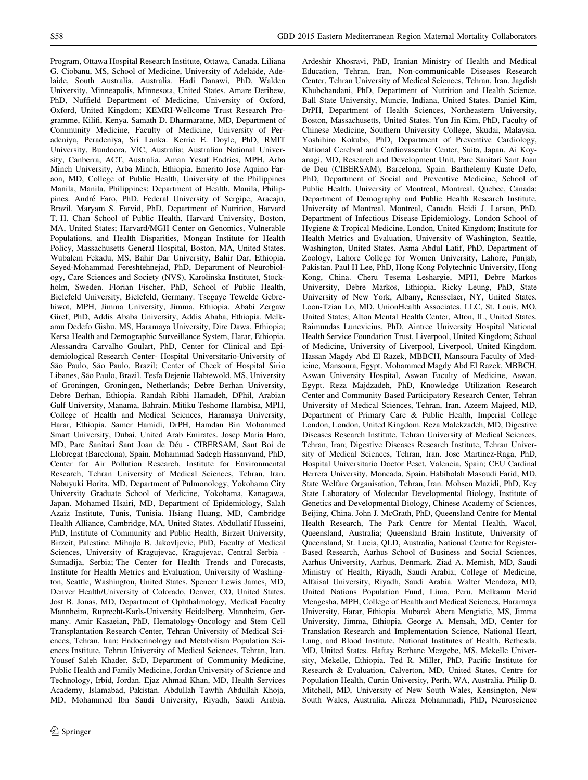Program, Ottawa Hospital Research Institute, Ottawa, Canada. Liliana G. Ciobanu, MS, School of Medicine, University of Adelaide, Adelaide, South Australia, Australia. Hadi Danawi, PhD, Walden University, Minneapolis, Minnesota, United States. Amare Deribew, PhD, Nuffield Department of Medicine, University of Oxford, Oxford, United Kingdom; KEMRI-Wellcome Trust Research Programme, Kilifi, Kenya. Samath D. Dharmaratne, MD, Department of Community Medicine, Faculty of Medicine, University of Peradeniya, Peradeniya, Sri Lanka. Kerrie E. Doyle, PhD, RMIT University, Bundoora, VIC, Australia; Australian National University, Canberra, ACT, Australia. Aman Yesuf Endries, MPH, Arba Minch University, Arba Minch, Ethiopia. Emerito Jose Aquino Faraon, MD, College of Public Health, University of the Philippines Manila, Manila, Philippines; Department of Health, Manila, Philippines. André Faro, PhD, Federal University of Sergipe, Aracaju, Brazil. Maryam S. Farvid, PhD, Department of Nutrition, Harvard T. H. Chan School of Public Health, Harvard University, Boston, MA, United States; Harvard/MGH Center on Genomics, Vulnerable Populations, and Health Disparities, Mongan Institute for Health Policy, Massachusetts General Hospital, Boston, MA, United States. Wubalem Fekadu, MS, Bahir Dar University, Bahir Dar, Ethiopia. Seyed-Mohammad Fereshtehnejad, PhD, Department of Neurobiology, Care Sciences and Society (NVS), Karolinska Institutet, Stockholm, Sweden. Florian Fischer, PhD, School of Public Health, Bielefeld University, Bielefeld, Germany. Tsegaye Tewelde Gebrehiwot, MPH, Jimma University, Jimma, Ethiopia. Ababi Zergaw Giref, PhD, Addis Ababa University, Addis Ababa, Ethiopia. Melkamu Dedefo Gishu, MS, Haramaya University, Dire Dawa, Ethiopia; Kersa Health and Demographic Surveillance System, Harar, Ethiopia. Alessandra Carvalho Goulart, PhD, Center for Clinical and Epidemiological Research Center- Hospital Universitario-University of São Paulo, São Paulo, Brazil; Center of Check of Hospital Sirio Libanes, São Paulo, Brazil. Tesfa Dejenie Habtewold, MS, University of Groningen, Groningen, Netherlands; Debre Berhan University, Debre Berhan, Ethiopia. Randah Ribhi Hamadeh, DPhil, Arabian Gulf University, Manama, Bahrain. Mitiku Teshome Hambisa, MPH, College of Health and Medical Sciences, Haramaya University, Harar, Ethiopia. Samer Hamidi, DrPH, Hamdan Bin Mohammed Smart University, Dubai, United Arab Emirates. Josep Maria Haro, MD, Parc Sanitari Sant Joan de Déu - CIBERSAM, Sant Boi de Llobregat (Barcelona), Spain. Mohammad Sadegh Hassanvand, PhD, Center for Air Pollution Research, Institute for Environmental Research, Tehran University of Medical Sciences, Tehran, Iran. Nobuyuki Horita, MD, Department of Pulmonology, Yokohama City University Graduate School of Medicine, Yokohama, Kanagawa, Japan. Mohamed Hsairi, MD, Department of Epidemiology, Salah Azaiz Institute, Tunis, Tunisia. Hsiang Huang, MD, Cambridge Health Alliance, Cambridge, MA, United States. Abdullatif Husseini, PhD, Institute of Community and Public Health, Birzeit University, Birzeit, Palestine. Mihajlo B. Jakovljevic, PhD, Faculty of Medical Sciences, University of Kragujevac, Kragujevac, Central Serbia - Sumadija, Serbia; The Center for Health Trends and Forecasts, Institute for Health Metrics and Evaluation, University of Washington, Seattle, Washington, United States. Spencer Lewis James, MD, Denver Health/University of Colorado, Denver, CO, United States. Jost B. Jonas, MD, Department of Ophthalmology, Medical Faculty Mannheim, Ruprecht-Karls-University Heidelberg, Mannheim, Germany. Amir Kasaeian, PhD, Hematology-Oncology and Stem Cell Transplantation Research Center, Tehran University of Medical Sciences, Tehran, Iran; Endocrinology and Metabolism Population Sciences Institute, Tehran University of Medical Sciences, Tehran, Iran. Yousef Saleh Khader, ScD, Department of Community Medicine, Public Health and Family Medicine, Jordan University of Science and Technology, Irbid, Jordan. Ejaz Ahmad Khan, MD, Health Services Academy, Islamabad, Pakistan. Abdullah Tawfih Abdullah Khoja, MD, Mohammed Ibn Saudi University, Riyadh, Saudi Arabia.

Ardeshir Khosravi, PhD, Iranian Ministry of Health and Medical Education, Tehran, Iran, Non-communicable Diseases Research Center, Tehran University of Medical Sciences, Tehran, Iran. Jagdish Khubchandani, PhD, Department of Nutrition and Health Science, Ball State University, Muncie, Indiana, United States. Daniel Kim, DrPH, Department of Health Sciences, Northeastern University, Boston, Massachusetts, United States. Yun Jin Kim, PhD, Faculty of Chinese Medicine, Southern University College, Skudai, Malaysia. Yoshihiro Kokubo, PhD, Department of Preventive Cardiology, National Cerebral and Cardiovascular Center, Suita, Japan. Ai Koyanagi, MD, Research and Development Unit, Parc Sanitari Sant Joan de Deu (CIBERSAM), Barcelona, Spain. Barthelemy Kuate Defo, PhD, Department of Social and Preventive Medicine, School of Public Health, University of Montreal, Montreal, Quebec, Canada; Department of Demography and Public Health Research Institute, University of Montreal, Montreal, Canada. Heidi J. Larson, PhD, Department of Infectious Disease Epidemiology, London School of Hygiene & Tropical Medicine, London, United Kingdom; Institute for Health Metrics and Evaluation, University of Washington, Seattle, Washington, United States. Asma Abdul Latif, PhD, Department of Zoology, Lahore College for Women University, Lahore, Punjab, Pakistan. Paul H Lee, PhD, Hong Kong Polytechnic University, Hong Kong, China. Cheru Tesema Leshargie, MPH, Debre Markos University, Debre Markos, Ethiopia. Ricky Leung, PhD, State University of New York, Albany, Rensselaer, NY, United States. Loon-Tzian Lo, MD, UnionHealth Associates, LLC, St. Louis, MO, United States; Alton Mental Health Center, Alton, IL, United States. Raimundas Lunevicius, PhD, Aintree University Hospital National Health Service Foundation Trust, Liverpool, United Kingdom; School of Medicine, University of Liverpool, Liverpool, United Kingdom. Hassan Magdy Abd El Razek, MBBCH, Mansoura Faculty of Medicine, Mansoura, Egypt. Mohammed Magdy Abd El Razek, MBBCH, Aswan University Hospital, Aswan Faculty of Medicine, Aswan, Egypt. Reza Majdzadeh, PhD, Knowledge Utilization Research Center and Community Based Participatory Research Center, Tehran University of Medical Sciences, Tehran, Iran. Azeem Majeed, MD, Department of Primary Care & Public Health, Imperial College London, London, United Kingdom. Reza Malekzadeh, MD, Digestive Diseases Research Institute, Tehran University of Medical Sciences, Tehran, Iran; Digestive Diseases Research Institute, Tehran University of Medical Sciences, Tehran, Iran. Jose Martinez-Raga, PhD, Hospital Universitario Doctor Peset, Valencia, Spain; CEU Cardinal Herrera University, Moncada, Spain. Habibolah Masoudi Farid, MD, State Welfare Organisation, Tehran, Iran. Mohsen Mazidi, PhD, Key State Laboratory of Molecular Developmental Biology, Institute of Genetics and Developmental Biology, Chinese Academy of Sciences, Beijing, China. John J. McGrath, PhD, Queensland Centre for Mental Health Research, The Park Centre for Mental Health, Wacol, Queensland, Australia; Queensland Brain Institute, University of Queensland, St. Lucia, QLD, Australia, National Centre for Register-Based Research, Aarhus School of Business and Social Sciences, Aarhus University, Aarhus, Denmark. Ziad A. Memish, MD, Saudi Ministry of Health, Riyadh, Saudi Arabia; College of Medicine, Alfaisal University, Riyadh, Saudi Arabia. Walter Mendoza, MD, United Nations Population Fund, Lima, Peru. Melkamu Merid Mengesha, MPH, College of Health and Medical Sciences, Haramaya University, Harar, Ethiopia. Mubarek Abera Mengistie, MS, Jimma University, Jimma, Ethiopia. George A. Mensah, MD, Center for Translation Research and Implementation Science, National Heart, Lung, and Blood Institute, National Institutes of Health, Bethesda, MD, United States. Haftay Berhane Mezgebe, MS, Mekelle University, Mekelle, Ethiopia. Ted R. Miller, PhD, Pacific Institute for Research & Evaluation, Calverton, MD, United States, Centre for Population Health, Curtin University, Perth, WA, Australia. Philip B. Mitchell, MD, University of New South Wales, Kensington, New South Wales, Australia. Alireza Mohammadi, PhD, Neuroscience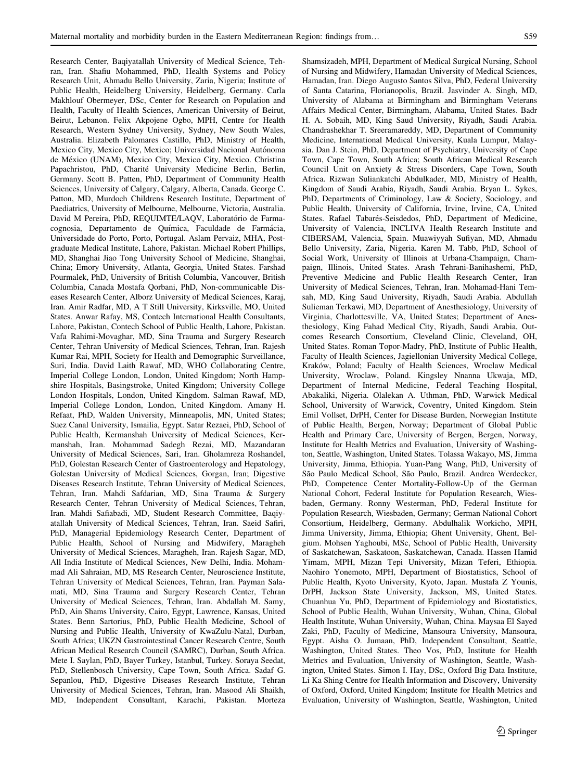Research Center, Baqiyatallah University of Medical Science, Tehran, Iran. Shafiu Mohammed, PhD, Health Systems and Policy Research Unit, Ahmadu Bello University, Zaria, Nigeria; Institute of Public Health, Heidelberg University, Heidelberg, Germany. Carla Makhlouf Obermeyer, DSc, Center for Research on Population and Health, Faculty of Health Sciences, American University of Beirut, Beirut, Lebanon. Felix Akpojene Ogbo, MPH, Centre for Health Research, Western Sydney University, Sydney, New South Wales, Australia. Elizabeth Palomares Castillo, PhD, Ministry of Health, Mexico City, Mexico City, Mexico; Universidad Nacional Autónoma de México (UNAM), Mexico City, Mexico City, Mexico. Christina Papachristou, PhD, Charité University Medicine Berlin, Berlin, Germany. Scott B. Patten, PhD, Department of Community Health Sciences, University of Calgary, Calgary, Alberta, Canada. George C. Patton, MD, Murdoch Childrens Research Institute, Department of Paediatrics, University of Melbourne, Melbourne, Victoria, Australia. David M Pereira, PhD, REQUIMTE/LAQV, Laboratório de Farmacognosia, Departamento de Química, Faculdade de Farmácia, Universidade do Porto, Porto, Portugal. Aslam Pervaiz, MHA, Postgraduate Medical Institute, Lahore, Pakistan. Michael Robert Phillips, MD, Shanghai Jiao Tong University School of Medicine, Shanghai, China; Emory University, Atlanta, Georgia, United States. Farshad Pourmalek, PhD, University of British Columbia, Vancouver, British Columbia, Canada Mostafa Qorbani, PhD, Non-communicable Diseases Research Center, Alborz University of Medical Sciences, Karaj, Iran. Amir Radfar, MD, A T Still University, Kirksville, MO, United States. Anwar Rafay, MS, Contech International Health Consultants, Lahore, Pakistan, Contech School of Public Health, Lahore, Pakistan. Vafa Rahimi-Movaghar, MD, Sina Trauma and Surgery Research Center, Tehran University of Medical Sciences, Tehran, Iran. Rajesh Kumar Rai, MPH, Society for Health and Demographic Surveillance, Suri, India. David Laith Rawaf, MD, WHO Collaborating Centre, Imperial College London, London, United Kingdom; North Hampshire Hospitals, Basingstroke, United Kingdom; University College London Hospitals, London, United Kingdom. Salman Rawaf, MD, Imperial College London, London, United Kingdom. Amany H. Refaat, PhD, Walden University, Minneapolis, MN, United States; Suez Canal University, Ismailia, Egypt. Satar Rezaei, PhD, School of Public Health, Kermanshah University of Medical Sciences, Kermanshah, Iran. Mohammad Sadegh Rezai, MD, Mazandaran University of Medical Sciences, Sari, Iran. Gholamreza Roshandel, PhD, Golestan Research Center of Gastroenterology and Hepatology, Golestan University of Medical Sciences, Gorgan, Iran; Digestive Diseases Research Institute, Tehran University of Medical Sciences, Tehran, Iran. Mahdi Safdarian, MD, Sina Trauma & Surgery Research Center, Tehran University of Medical Sciences, Tehran, Iran. Mahdi Safiabadi, MD, Student Research Committee, Baqiyatallah University of Medical Sciences, Tehran, Iran. Saeid Safiri, PhD, Managerial Epidemiology Research Center, Department of Public Health, School of Nursing and Midwifery, Maragheh University of Medical Sciences, Maragheh, Iran. Rajesh Sagar, MD, All India Institute of Medical Sciences, New Delhi, India. Mohammad Ali Sahraian, MD, MS Research Center, Neuroscience Institute, Tehran University of Medical Sciences, Tehran, Iran. Payman Salamati, MD, Sina Trauma and Surgery Research Center, Tehran University of Medical Sciences, Tehran, Iran. Abdallah M. Samy, PhD, Ain Shams University, Cairo, Egypt, Lawrence, Kansas, United States. Benn Sartorius, PhD, Public Health Medicine, School of Nursing and Public Health, University of KwaZulu-Natal, Durban, South Africa; UKZN Gastrointestinal Cancer Research Centre, South African Medical Research Council (SAMRC), Durban, South Africa. Mete I. Saylan, PhD, Bayer Turkey, Istanbul, Turkey. Soraya Seedat, PhD, Stellenbosch University, Cape Town, South Africa. Sadaf G. Sepanlou, PhD, Digestive Diseases Research Institute, Tehran University of Medical Sciences, Tehran, Iran. Masood Ali Shaikh, MD, Independent Consultant, Karachi, Pakistan. Morteza Shamsizadeh, MPH, Department of Medical Surgical Nursing, School of Nursing and Midwifery, Hamadan University of Medical Sciences, Hamadan, Iran. Diego Augusto Santos Silva, PhD, Federal University of Santa Catarina, Florianopolis, Brazil. Jasvinder A. Singh, MD, University of Alabama at Birmingham and Birmingham Veterans Affairs Medical Center, Birmingham, Alabama, United States. Badr H. A. Sobaih, MD, King Saud University, Riyadh, Saudi Arabia. Chandrashekhar T. Sreeramareddy, MD, Department of Community Medicine, International Medical University, Kuala Lumpur, Malaysia. Dan J. Stein, PhD, Department of Psychiatry, University of Cape Town, Cape Town, South Africa; South African Medical Research Council Unit on Anxiety & Stress Disorders, Cape Town, South Africa. Rizwan Suliankatchi Abdulkader, MD, Ministry of Health, Kingdom of Saudi Arabia, Riyadh, Saudi Arabia. Bryan L. Sykes, PhD, Departments of Criminology, Law & Society, Sociology, and Public Health, University of California, Irvine, Irvine, CA, United States. Rafael Tabarés-Seisdedos, PhD, Department of Medicine, University of Valencia, INCLIVA Health Research Institute and CIBERSAM, Valencia, Spain. Muawiyyah Sufiyan, MD, Ahmadu Bello University, Zaria, Nigeria. Karen M. Tabb, PhD, School of Social Work, University of Illinois at Urbana-Champaign, Champaign, Illinois, United States. Arash Tehrani-Banihashemi, PhD, Preventive Medicine and Public Health Research Center, Iran University of Medical Sciences, Tehran, Iran. Mohamad-Hani Temsah, MD, King Saud University, Riyadh, Saudi Arabia. Abdullah Sulieman Terkawi, MD, Department of Anesthesiology, University of Virginia, Charlottesville, VA, United States; Department of Anesthesiology, King Fahad Medical City, Riyadh, Saudi Arabia, Outcomes Research Consortium, Cleveland Clinic, Cleveland, OH, United States. Roman Topor-Madry, PhD, Institute of Public Health, Faculty of Health Sciences, Jagiellonian University Medical College, Kraków, Poland; Faculty of Health Sciences, Wroclaw Medical University, Wroclaw, Poland. Kingsley Nnanna Ukwaja, MD, Department of Internal Medicine, Federal Teaching Hospital, Abakaliki, Nigeria. Olalekan A. Uthman, PhD, Warwick Medical School, University of Warwick, Coventry, United Kingdom. Stein Emil Vollset, DrPH, Center for Disease Burden, Norwegian Institute of Public Health, Bergen, Norway; Department of Global Public Health and Primary Care, University of Bergen, Bergen, Norway, Institute for Health Metrics and Evaluation, University of Washington, Seattle, Washington, United States. Tolassa Wakayo, MS, Jimma University, Jimma, Ethiopia. Yuan-Pang Wang, PhD, University of São Paulo Medical School, São Paulo, Brazil. Andrea Werdecker, PhD, Competence Center Mortality-Follow-Up of the German National Cohort, Federal Institute for Population Research, Wiesbaden, Germany. Ronny Westerman, PhD, Federal Institute for Population Research, Wiesbaden, Germany; German National Cohort Consortium, Heidelberg, Germany. Abdulhalik Workicho, MPH, Jimma University, Jimma, Ethiopia; Ghent University, Ghent, Belgium. Mohsen Yaghoubi, MSc, School of Public Health, University of Saskatchewan, Saskatoon, Saskatchewan, Canada. Hassen Hamid Yimam, MPH, Mizan Tepi University, Mizan Teferi, Ethiopia. Naohiro Yonemoto, MPH, Department of Biostatistics, School of Public Health, Kyoto University, Kyoto, Japan. Mustafa Z Younis, DrPH, Jackson State University, Jackson, MS, United States. Chuanhua Yu, PhD, Department of Epidemiology and Biostatistics, School of Public Health, Wuhan University, Wuhan, China, Global Health Institute, Wuhan University, Wuhan, China. Maysaa El Sayed Zaki, PhD, Faculty of Medicine, Mansoura University, Mansoura, Egypt. Aisha O. Jumaan, PhD, Independent Consultant, Seattle, Washington, United States. Theo Vos, PhD, Institute for Health Metrics and Evaluation, University of Washington, Seattle, Washington, United States. Simon I. Hay, DSc, Oxford Big Data Institute, Li Ka Shing Centre for Health Information and Discovery, University of Oxford, Oxford, United Kingdom; Institute for Health Metrics and Evaluation, University of Washington, Seattle, Washington, United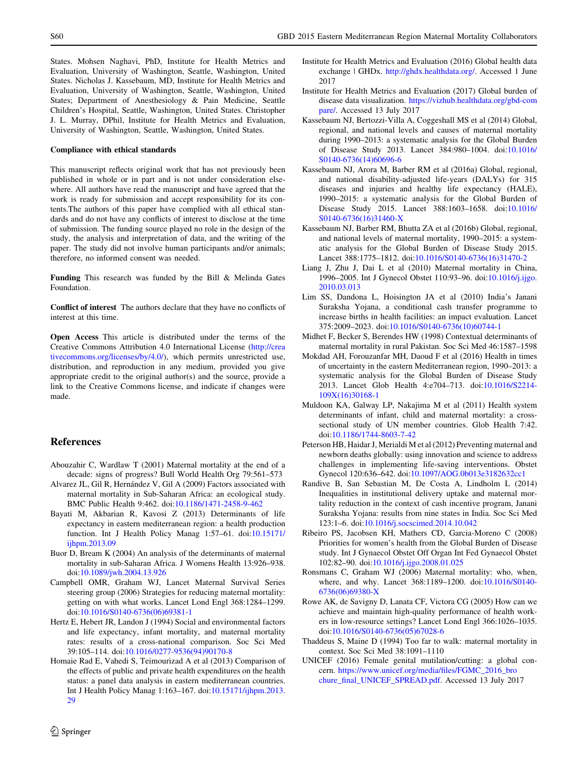<span id="page-13-0"></span>States. Mohsen Naghavi, PhD, Institute for Health Metrics and Evaluation, University of Washington, Seattle, Washington, United States. Nicholas J. Kassebaum, MD, Institute for Health Metrics and Evaluation, University of Washington, Seattle, Washington, United States; Department of Anesthesiology & Pain Medicine, Seattle Children's Hospital, Seattle, Washington, United States. Christopher J. L. Murray, DPhil, Institute for Health Metrics and Evaluation, University of Washington, Seattle, Washington, United States.

#### Compliance with ethical standards

This manuscript reflects original work that has not previously been published in whole or in part and is not under consideration elsewhere. All authors have read the manuscript and have agreed that the work is ready for submission and accept responsibility for its contents.The authors of this paper have complied with all ethical standards and do not have any conflicts of interest to disclose at the time of submission. The funding source played no role in the design of the study, the analysis and interpretation of data, and the writing of the paper. The study did not involve human participants and/or animals; therefore, no informed consent was needed.

Funding This research was funded by the Bill & Melinda Gates Foundation.

Conflict of interest The authors declare that they have no conflicts of interest at this time.

Open Access This article is distributed under the terms of the Creative Commons Attribution 4.0 International License ([http://crea](http://creativecommons.org/licenses/by/4.0/) [tivecommons.org/licenses/by/4.0/\)](http://creativecommons.org/licenses/by/4.0/), which permits unrestricted use, distribution, and reproduction in any medium, provided you give appropriate credit to the original author(s) and the source, provide a link to the Creative Commons license, and indicate if changes were made.

#### References

- Abouzahir C, Wardlaw T (2001) Maternal mortality at the end of a decade: signs of progress? Bull World Health Org 79:561–573
- Alvarez JL, Gil R, Hernández V, Gil A (2009) Factors associated with maternal mortality in Sub-Saharan Africa: an ecological study. BMC Public Health 9:462. doi[:10.1186/1471-2458-9-462](https://doi.org/10.1186/1471-2458-9-462)
- Bayati M, Akbarian R, Kavosi Z (2013) Determinants of life expectancy in eastern mediterranean region: a health production function. Int J Health Policy Manag 1:57–61. doi:[10.15171/](https://doi.org/10.15171/ijhpm.2013.09) [ijhpm.2013.09](https://doi.org/10.15171/ijhpm.2013.09)
- Buor D, Bream K (2004) An analysis of the determinants of maternal mortality in sub-Saharan Africa. J Womens Health 13:926–938. doi[:10.1089/jwh.2004.13.926](https://doi.org/10.1089/jwh.2004.13.926)
- Campbell OMR, Graham WJ, Lancet Maternal Survival Series steering group (2006) Strategies for reducing maternal mortality: getting on with what works. Lancet Lond Engl 368:1284–1299. doi[:10.1016/S0140-6736\(06\)69381-1](https://doi.org/10.1016/S0140-6736(06)69381-1)
- Hertz E, Hebert JR, Landon J (1994) Social and environmental factors and life expectancy, infant mortality, and maternal mortality rates: results of a cross-national comparison. Soc Sci Med 39:105–114. doi:[10.1016/0277-9536\(94\)90170-8](https://doi.org/10.1016/0277-9536(94)90170-8)
- Homaie Rad E, Vahedi S, Teimourizad A et al (2013) Comparison of the effects of public and private health expenditures on the health status: a panel data analysis in eastern mediterranean countries. Int J Health Policy Manag 1:163–167. doi:[10.15171/ijhpm.2013.](https://doi.org/10.15171/ijhpm.2013.29) [29](https://doi.org/10.15171/ijhpm.2013.29)
- Institute for Health Metrics and Evaluation (2016) Global health data exchange | GHDx. <http://ghdx.healthdata.org/>. Accessed 1 June 2017
- Institute for Health Metrics and Evaluation (2017) Global burden of disease data visualization. [https://vizhub.healthdata.org/gbd-com](https://vizhub.healthdata.org/gbd-compare/) [pare/](https://vizhub.healthdata.org/gbd-compare/). Accessed 13 July 2017
- Kassebaum NJ, Bertozzi-Villa A, Coggeshall MS et al (2014) Global, regional, and national levels and causes of maternal mortality during 1990–2013: a systematic analysis for the Global Burden of Disease Study 2013. Lancet 384:980–1004. doi[:10.1016/](https://doi.org/10.1016/S0140-6736(14)60696-6) [S0140-6736\(14\)60696-6](https://doi.org/10.1016/S0140-6736(14)60696-6)
- Kassebaum NJ, Arora M, Barber RM et al (2016a) Global, regional, and national disability-adjusted life-years (DALYs) for 315 diseases and injuries and healthy life expectancy (HALE), 1990–2015: a systematic analysis for the Global Burden of Disease Study 2015. Lancet 388:1603–1658. doi[:10.1016/](https://doi.org/10.1016/S0140-6736(16)31460-X) [S0140-6736\(16\)31460-X](https://doi.org/10.1016/S0140-6736(16)31460-X)
- Kassebaum NJ, Barber RM, Bhutta ZA et al (2016b) Global, regional, and national levels of maternal mortality, 1990–2015: a systematic analysis for the Global Burden of Disease Study 2015. Lancet 388:1775–1812. doi:[10.1016/S0140-6736\(16\)31470-2](https://doi.org/10.1016/S0140-6736(16)31470-2)
- Liang J, Zhu J, Dai L et al (2010) Maternal mortality in China, 1996–2005. Int J Gynecol Obstet 110:93–96. doi[:10.1016/j.ijgo.](https://doi.org/10.1016/j.ijgo.2010.03.013) [2010.03.013](https://doi.org/10.1016/j.ijgo.2010.03.013)
- Lim SS, Dandona L, Hoisington JA et al (2010) India's Janani Suraksha Yojana, a conditional cash transfer programme to increase births in health facilities: an impact evaluation. Lancet 375:2009–2023. doi:[10.1016/S0140-6736\(10\)60744-1](https://doi.org/10.1016/S0140-6736(10)60744-1)
- Midhet F, Becker S, Berendes HW (1998) Contextual determinants of maternal mortality in rural Pakistan. Soc Sci Med 46:1587–1598
- Mokdad AH, Forouzanfar MH, Daoud F et al (2016) Health in times of uncertainty in the eastern Mediterranean region, 1990–2013: a systematic analysis for the Global Burden of Disease Study 2013. Lancet Glob Health 4:e704–713. doi:[10.1016/S2214-](https://doi.org/10.1016/S2214-109X(16)30168-1) [109X\(16\)30168-1](https://doi.org/10.1016/S2214-109X(16)30168-1)
- Muldoon KA, Galway LP, Nakajima M et al (2011) Health system determinants of infant, child and maternal mortality: a crosssectional study of UN member countries. Glob Health 7:42. doi[:10.1186/1744-8603-7-42](https://doi.org/10.1186/1744-8603-7-42)
- Peterson HB, Haidar J, Merialdi M et al (2012) Preventing maternal and newborn deaths globally: using innovation and science to address challenges in implementing life-saving interventions. Obstet Gynecol 120:636–642. doi[:10.1097/AOG.0b013e3182632cc1](https://doi.org/10.1097/AOG.0b013e3182632cc1)
- Randive B, San Sebastian M, De Costa A, Lindholm L (2014) Inequalities in institutional delivery uptake and maternal mortality reduction in the context of cash incentive program, Janani Suraksha Yojana: results from nine states in India. Soc Sci Med 123:1–6. doi[:10.1016/j.socscimed.2014.10.042](https://doi.org/10.1016/j.socscimed.2014.10.042)
- Ribeiro PS, Jacobsen KH, Mathers CD, Garcia-Moreno C (2008) Priorities for women's health from the Global Burden of Disease study. Int J Gynaecol Obstet Off Organ Int Fed Gynaecol Obstet 102:82–90. doi:[10.1016/j.ijgo.2008.01.025](https://doi.org/10.1016/j.ijgo.2008.01.025)
- Ronsmans C, Graham WJ (2006) Maternal mortality: who, when, where, and why. Lancet 368:1189–1200. doi:[10.1016/S0140-](https://doi.org/10.1016/S0140-6736(06)69380-X) [6736\(06\)69380-X](https://doi.org/10.1016/S0140-6736(06)69380-X)
- Rowe AK, de Savigny D, Lanata CF, Victora CG (2005) How can we achieve and maintain high-quality performance of health workers in low-resource settings? Lancet Lond Engl 366:1026–1035. doi[:10.1016/S0140-6736\(05\)67028-6](https://doi.org/10.1016/S0140-6736(05)67028-6)
- Thaddeus S, Maine D (1994) Too far to walk: maternal mortality in context. Soc Sci Med 38:1091–1110
- UNICEF (2016) Female genital mutilation/cutting: a global concern. [https://www.unicef.org/media/files/FGMC\\_2016\\_bro](https://www.unicef.org/media/files/FGMC_2016_brochure_final_UNICEF_SPREAD.pdf) [chure\\_final\\_UNICEF\\_SPREAD.pdf](https://www.unicef.org/media/files/FGMC_2016_brochure_final_UNICEF_SPREAD.pdf). Accessed 13 July 2017